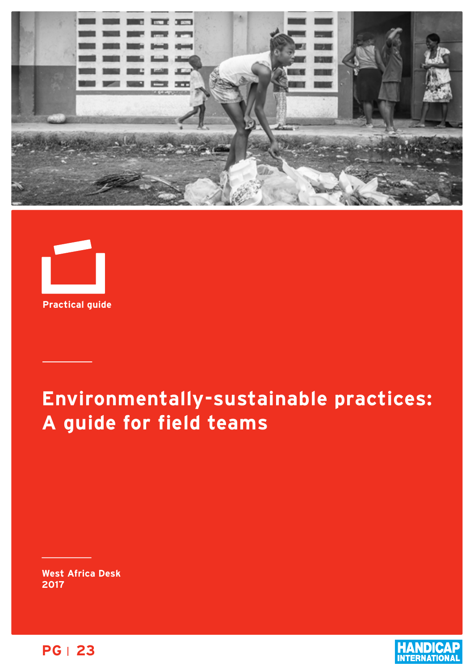



# **Environmentally-sustainable practices: A guide for field teams**

**West Africa Desk 2017**



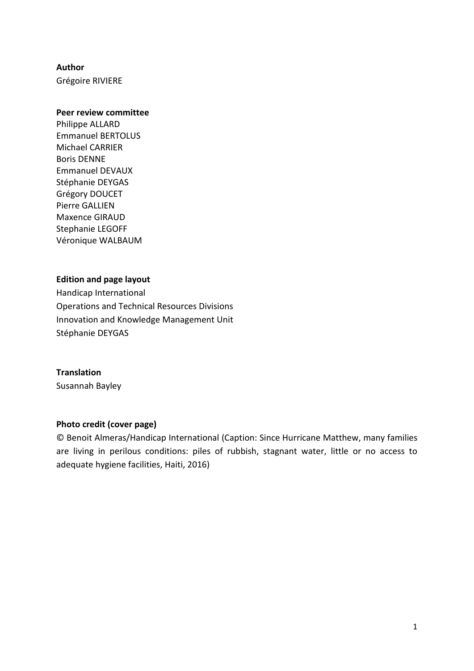### **Author**

Grégoire RIVIERE

### **Peer review committee**

Philippe ALLARD Emmanuel BERTOLUS Michael CARRIER Boris DENNE Emmanuel DEVAUX Stéphanie DEYGAS Grégory DOUCET Pierre GALLIEN Maxence GIRAUD Stephanie LEGOFF Véronique WALBAUM

### **Edition and page layout**

Handicap International Operations and Technical Resources Divisions Innovation and Knowledge Management Unit Stéphanie DEYGAS

### **Translation**

Susannah Bayley

### **Photo credit (cover page)**

© Benoit Almeras/Handicap International (Caption: Since Hurricane Matthew, many families are living in perilous conditions: piles of rubbish, stagnant water, little or no access to adequate hygiene facilities, Haiti, 2016)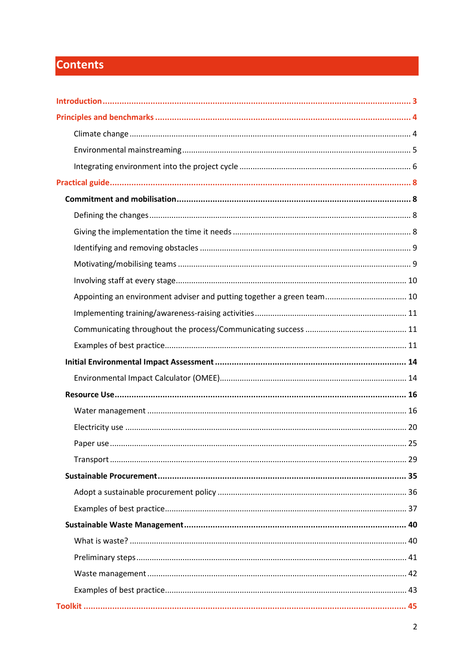# **Contents**

| Appointing an environment adviser and putting together a green team 10 |  |
|------------------------------------------------------------------------|--|
|                                                                        |  |
|                                                                        |  |
|                                                                        |  |
|                                                                        |  |
|                                                                        |  |
|                                                                        |  |
|                                                                        |  |
|                                                                        |  |
|                                                                        |  |
|                                                                        |  |
|                                                                        |  |
|                                                                        |  |
|                                                                        |  |
|                                                                        |  |
|                                                                        |  |
|                                                                        |  |
|                                                                        |  |
|                                                                        |  |
|                                                                        |  |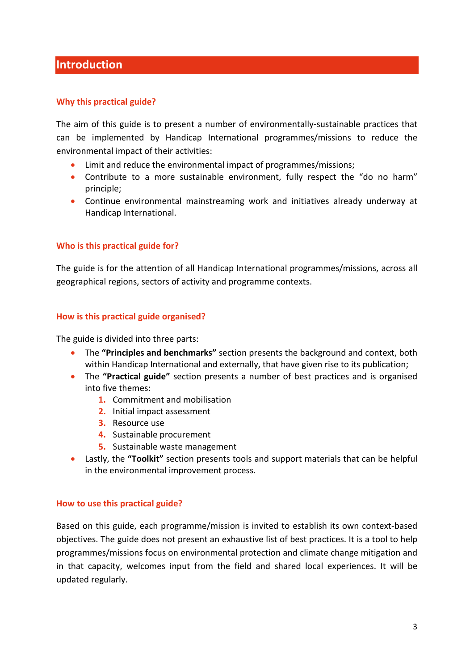## <span id="page-3-0"></span>**Introduction**

### **Why this practical guide?**

The aim of this guide is to present a number of environmentally-sustainable practices that can be implemented by Handicap International programmes/missions to reduce the environmental impact of their activities:

- Limit and reduce the environmental impact of programmes/missions;
- Contribute to a more sustainable environment, fully respect the "do no harm" principle;
- Continue environmental mainstreaming work and initiatives already underway at Handicap International.

### **Who is this practical guide for?**

The guide is for the attention of all Handicap International programmes/missions, across all geographical regions, sectors of activity and programme contexts.

### **How is this practical guide organised?**

The guide is divided into three parts:

- The **"Principles and benchmarks"** section presents the background and context, both within Handicap International and externally, that have given rise to its publication;
- The **"Practical guide"** section presents a number of best practices and is organised into five themes:
	- **1.** Commitment and mobilisation
	- **2.** Initial impact assessment
	- **3.** Resource use
	- **4.** Sustainable procurement
	- **5.** Sustainable waste management
- Lastly, the **"Toolkit"** section presents tools and support materials that can be helpful in the environmental improvement process.

### **How to use this practical guide?**

Based on this guide, each programme/mission is invited to establish its own context-based objectives. The guide does not present an exhaustive list of best practices. It is a tool to help programmes/missions focus on environmental protection and climate change mitigation and in that capacity, welcomes input from the field and shared local experiences. It will be updated regularly.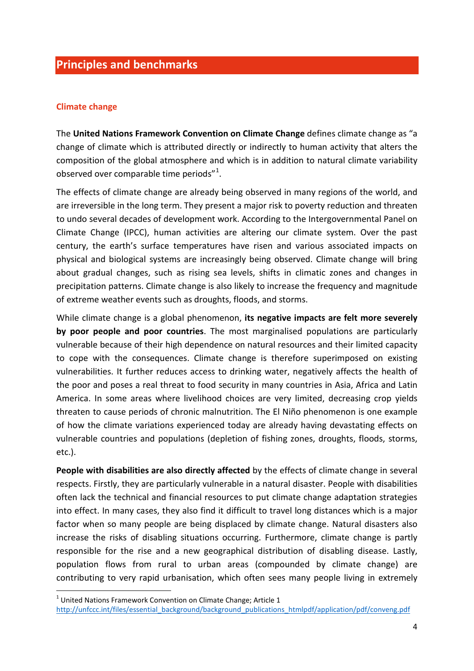# <span id="page-4-0"></span>**Principles and benchmarks**

### <span id="page-4-1"></span>**Climate change**

The **United Nations Framework Convention on Climate Change** defines climate change as "a change of climate which is attributed directly or indirectly to human activity that alters the composition of the global atmosphere and which is in addition to natural climate variability observed over comparable time periods"<sup>[1](#page-4-2)</sup>.

The effects of climate change are already being observed in many regions of the world, and are irreversible in the long term. They present a major risk to poverty reduction and threaten to undo several decades of development work. According to the Intergovernmental Panel on Climate Change (IPCC), human activities are altering our climate system. Over the past century, the earth's surface temperatures have risen and various associated impacts on physical and biological systems are increasingly being observed. Climate change will bring about gradual changes, such as rising sea levels, shifts in climatic zones and changes in precipitation patterns. Climate change is also likely to increase the frequency and magnitude of extreme weather events such as droughts, floods, and storms.

While climate change is a global phenomenon, **its negative impacts are felt more severely by poor people and poor countries**. The most marginalised populations are particularly vulnerable because of their high dependence on natural resources and their limited capacity to cope with the consequences. Climate change is therefore superimposed on existing vulnerabilities. It further reduces access to drinking water, negatively affects the health of the poor and poses a real threat to food security in many countries in Asia, Africa and Latin America. In some areas where livelihood choices are very limited, decreasing crop yields threaten to cause periods of chronic malnutrition. The El Niño phenomenon is one example of how the climate variations experienced today are already having devastating effects on vulnerable countries and populations (depletion of fishing zones, droughts, floods, storms, etc.).

People with disabilities are also directly affected by the effects of climate change in several respects. Firstly, they are particularly vulnerable in a natural disaster. People with disabilities often lack the technical and financial resources to put climate change adaptation strategies into effect. In many cases, they also find it difficult to travel long distances which is a major factor when so many people are being displaced by climate change. Natural disasters also increase the risks of disabling situations occurring. Furthermore, climate change is partly responsible for the rise and a new geographical distribution of disabling disease. Lastly, population flows from rural to urban areas (compounded by climate change) are contributing to very rapid urbanisation, which often sees many people living in extremely

 $\overline{a}$ 

<span id="page-4-2"></span> $1$  United Nations Framework Convention on Climate Change; Article 1

[http://unfccc.int/files/essential\\_background/background\\_publications\\_htmlpdf/application/pdf/conveng.pdf](http://unfccc.int/files/essential_background/background_publications_htmlpdf/application/pdf/conveng.pdf)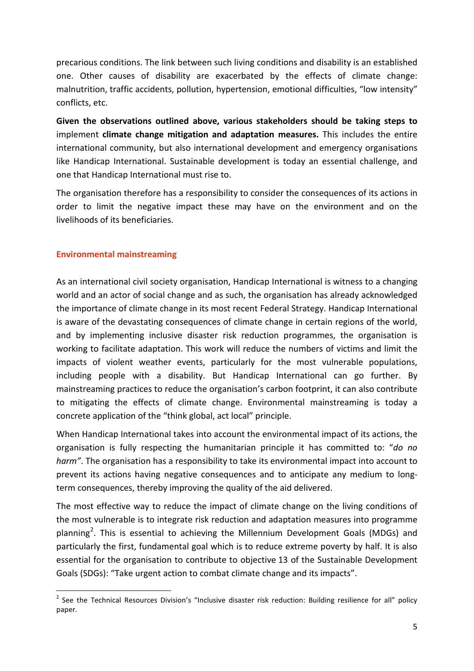precarious conditions. The link between such living conditions and disability is an established one. Other causes of disability are exacerbated by the effects of climate change: malnutrition, traffic accidents, pollution, hypertension, emotional difficulties, "low intensity" conflicts, etc.

**Given the observations outlined above, various stakeholders should be taking steps to** implement **climate change mitigation and adaptation measures.** This includes the entire international community, but also international development and emergency organisations like Handicap International. Sustainable development is today an essential challenge, and one that Handicap International must rise to.

The organisation therefore has a responsibility to consider the consequences of its actions in order to limit the negative impact these may have on the environment and on the livelihoods of its beneficiaries.

### <span id="page-5-0"></span>**Environmental mainstreaming**

 $\overline{a}$ 

As an international civil society organisation, Handicap International is witness to a changing world and an actor of social change and as such, the organisation has already acknowledged the importance of climate change in its most recent Federal Strategy. Handicap International is aware of the devastating consequences of climate change in certain regions of the world, and by implementing inclusive disaster risk reduction programmes, the organisation is working to facilitate adaptation. This work will reduce the numbers of victims and limit the impacts of violent weather events, particularly for the most vulnerable populations, including people with a disability. But Handicap International can go further. By mainstreaming practices to reduce the organisation's carbon footprint, it can also contribute to mitigating the effects of climate change. Environmental mainstreaming is today a concrete application of the "think global, act local" principle.

When Handicap International takes into account the environmental impact of its actions, the organisation is fully respecting the humanitarian principle it has committed to: "*do no harm"*. The organisation has a responsibility to take its environmental impact into account to prevent its actions having negative consequences and to anticipate any medium to longterm consequences, thereby improving the quality of the aid delivered.

The most effective way to reduce the impact of climate change on the living conditions of the most vulnerable is to integrate risk reduction and adaptation measures into programme planning<sup>[2](#page-5-1)</sup>. This is essential to achieving the Millennium Development Goals (MDGs) and particularly the first, fundamental goal which is to reduce extreme poverty by half. It is also essential for the organisation to contribute to objective 13 of the Sustainable Development Goals (SDGs): "Take urgent action to combat climate change and its impacts".

<span id="page-5-1"></span><sup>&</sup>lt;sup>2</sup> See the Technical Resources Division's "Inclusive disaster risk reduction: Building resilience for all" policy paper.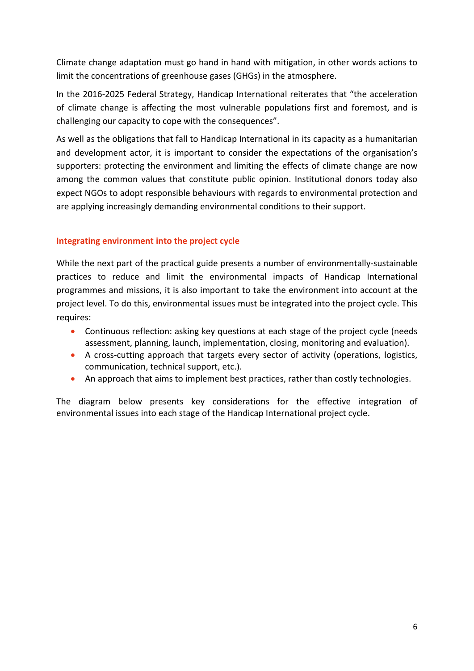Climate change adaptation must go hand in hand with mitigation, in other words actions to limit the concentrations of greenhouse gases (GHGs) in the atmosphere.

In the 2016-2025 Federal Strategy, Handicap International reiterates that "the acceleration of climate change is affecting the most vulnerable populations first and foremost, and is challenging our capacity to cope with the consequences".

As well as the obligations that fall to Handicap International in its capacity as a humanitarian and development actor, it is important to consider the expectations of the organisation's supporters: protecting the environment and limiting the effects of climate change are now among the common values that constitute public opinion. Institutional donors today also expect NGOs to adopt responsible behaviours with regards to environmental protection and are applying increasingly demanding environmental conditions to their support.

### <span id="page-6-0"></span>**Integrating environment into the project cycle**

While the next part of the practical guide presents a number of environmentally-sustainable practices to reduce and limit the environmental impacts of Handicap International programmes and missions, it is also important to take the environment into account at the project level. To do this, environmental issues must be integrated into the project cycle. This requires:

- Continuous reflection: asking key questions at each stage of the project cycle (needs assessment, planning, launch, implementation, closing, monitoring and evaluation).
- A cross-cutting approach that targets every sector of activity (operations, logistics, communication, technical support, etc.).
- An approach that aims to implement best practices, rather than costly technologies.

The diagram below presents key considerations for the effective integration of environmental issues into each stage of the Handicap International project cycle.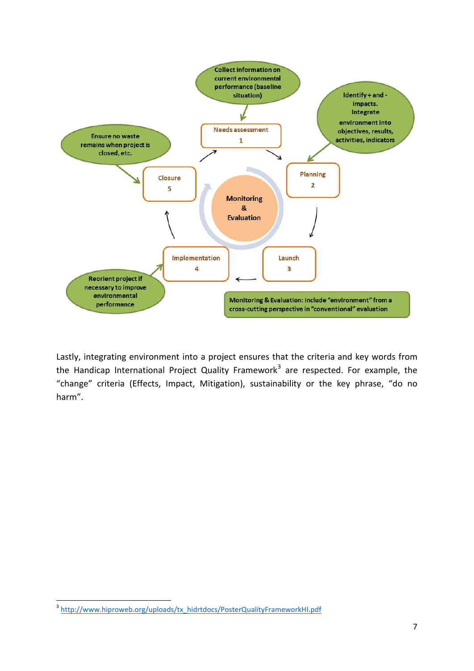

Lastly, integrating environment into a project ensures that the criteria and key words from the Handicap International Project Quality Framework<sup>[3](#page-7-0)</sup> are respected. For example, the "change" criteria (Effects, Impact, Mitigation), sustainability or the key phrase, "do no harm".

 $\overline{a}$ 

<span id="page-7-0"></span><sup>&</sup>lt;sup>3</sup> [http://www.hiproweb.org/uploads/tx\\_hidrtdocs/PosterQualityFrameworkHI.pdf](http://www.hiproweb.org/uploads/tx_hidrtdocs/PosterQualityFrameworkHI.pdf)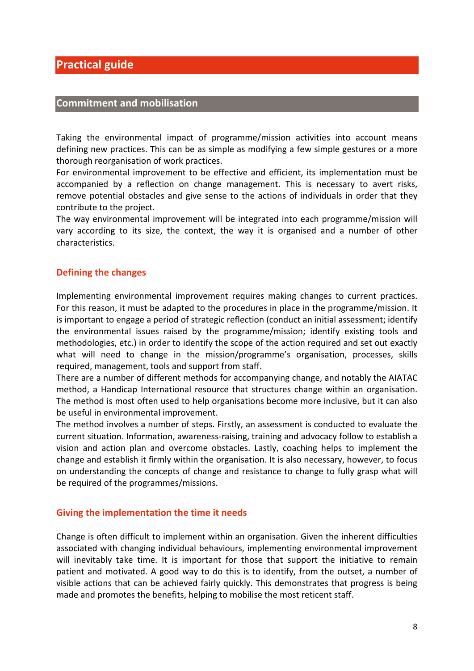# <span id="page-8-0"></span>**Practical guide**

### <span id="page-8-1"></span>**Commitment and mobilisation**

Taking the environmental impact of programme/mission activities into account means defining new practices. This can be as simple as modifying a few simple gestures or a more thorough reorganisation of work practices.

For environmental improvement to be effective and efficient, its implementation must be accompanied by a reflection on change management. This is necessary to avert risks, remove potential obstacles and give sense to the actions of individuals in order that they contribute to the project.

The way environmental improvement will be integrated into each programme/mission will vary according to its size, the context, the way it is organised and a number of other characteristics.

### <span id="page-8-2"></span>**Defining the changes**

Implementing environmental improvement requires making changes to current practices. For this reason, it must be adapted to the procedures in place in the programme/mission. It is important to engage a period of strategic reflection (conduct an initial assessment; identify the environmental issues raised by the programme/mission; identify existing tools and methodologies, etc.) in order to identify the scope of the action required and set out exactly what will need to change in the mission/programme's organisation, processes, skills required, management, tools and support from staff.

There are a number of different methods for accompanying change, and notably the AIATAC method, a Handicap International resource that structures change within an organisation. The method is most often used to help organisations become more inclusive, but it can also be useful in environmental improvement.

The method involves a number of steps. Firstly, an assessment is conducted to evaluate the current situation. Information, awareness-raising, training and advocacy follow to establish a vision and action plan and overcome obstacles. Lastly, coaching helps to implement the change and establish it firmly within the organisation. It is also necessary, however, to focus on understanding the concepts of change and resistance to change to fully grasp what will be required of the programmes/missions.

### <span id="page-8-3"></span>**Giving the implementation the time it needs**

Change is often difficult to implement within an organisation. Given the inherent difficulties associated with changing individual behaviours, implementing environmental improvement will inevitably take time. It is important for those that support the initiative to remain patient and motivated. A good way to do this is to identify, from the outset, a number of visible actions that can be achieved fairly quickly. This demonstrates that progress is being made and promotes the benefits, helping to mobilise the most reticent staff.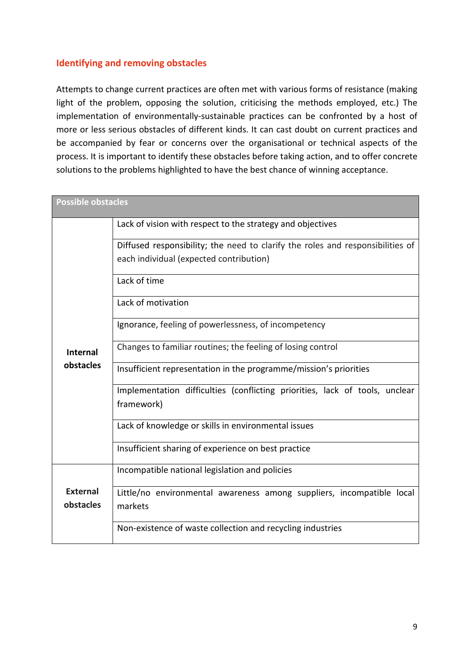### <span id="page-9-0"></span>**Identifying and removing obstacles**

Attempts to change current practices are often met with various forms of resistance (making light of the problem, opposing the solution, criticising the methods employed, etc.) The implementation of environmentally-sustainable practices can be confronted by a host of more or less serious obstacles of different kinds. It can cast doubt on current practices and be accompanied by fear or concerns over the organisational or technical aspects of the process. It is important to identify these obstacles before taking action, and to offer concrete solutions to the problems highlighted to have the best chance of winning acceptance.

<span id="page-9-1"></span>

| <b>Possible obstacles</b>                                                      |                                                                                |
|--------------------------------------------------------------------------------|--------------------------------------------------------------------------------|
|                                                                                | Lack of vision with respect to the strategy and objectives                     |
|                                                                                | Diffused responsibility; the need to clarify the roles and responsibilities of |
|                                                                                | each individual (expected contribution)                                        |
|                                                                                | Lack of time                                                                   |
|                                                                                | Lack of motivation                                                             |
|                                                                                | Ignorance, feeling of powerlessness, of incompetency                           |
| Changes to familiar routines; the feeling of losing control<br><b>Internal</b> |                                                                                |
| obstacles                                                                      | Insufficient representation in the programme/mission's priorities              |
|                                                                                | Implementation difficulties (conflicting priorities, lack of tools, unclear    |
|                                                                                | framework)                                                                     |
|                                                                                | Lack of knowledge or skills in environmental issues                            |
|                                                                                | Insufficient sharing of experience on best practice                            |
|                                                                                | Incompatible national legislation and policies                                 |
| <b>External</b>                                                                | Little/no environmental awareness among suppliers, incompatible local          |
| obstacles                                                                      | markets                                                                        |
|                                                                                | Non-existence of waste collection and recycling industries                     |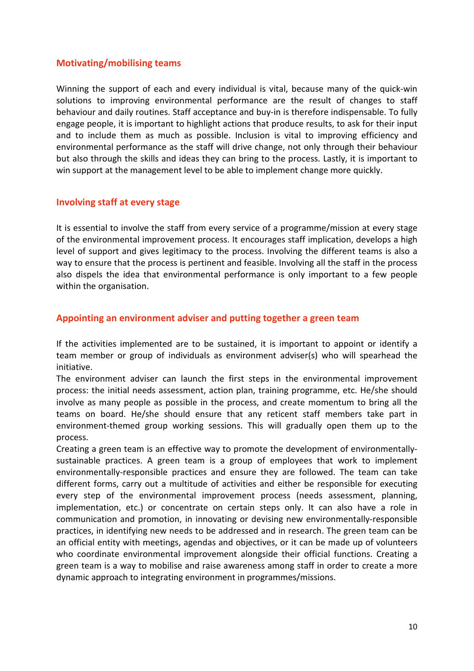### **Motivating/mobilising teams**

Winning the support of each and every individual is vital, because many of the quick-win solutions to improving environmental performance are the result of changes to staff behaviour and daily routines. Staff acceptance and buy-in is therefore indispensable. To fully engage people, it is important to highlight actions that produce results, to ask for their input and to include them as much as possible. Inclusion is vital to improving efficiency and environmental performance as the staff will drive change, not only through their behaviour but also through the skills and ideas they can bring to the process. Lastly, it is important to win support at the management level to be able to implement change more quickly.

### <span id="page-10-0"></span>**Involving staff at every stage**

It is essential to involve the staff from every service of a programme/mission at every stage of the environmental improvement process. It encourages staff implication, develops a high level of support and gives legitimacy to the process. Involving the different teams is also a way to ensure that the process is pertinent and feasible. Involving all the staff in the process also dispels the idea that environmental performance is only important to a few people within the organisation.

### <span id="page-10-1"></span>**Appointing an environment adviser and putting together a green team**

If the activities implemented are to be sustained, it is important to appoint or identify a team member or group of individuals as environment adviser(s) who will spearhead the initiative.

The environment adviser can launch the first steps in the environmental improvement process: the initial needs assessment, action plan, training programme, etc. He/she should involve as many people as possible in the process, and create momentum to bring all the teams on board. He/she should ensure that any reticent staff members take part in environment-themed group working sessions. This will gradually open them up to the process.

Creating a green team is an effective way to promote the development of environmentallysustainable practices. A green team is a group of employees that work to implement environmentally-responsible practices and ensure they are followed. The team can take different forms, carry out a multitude of activities and either be responsible for executing every step of the environmental improvement process (needs assessment, planning, implementation, etc.) or concentrate on certain steps only. It can also have a role in communication and promotion, in innovating or devising new environmentally-responsible practices, in identifying new needs to be addressed and in research. The green team can be an official entity with meetings, agendas and objectives, or it can be made up of volunteers who coordinate environmental improvement alongside their official functions. Creating a green team is a way to mobilise and raise awareness among staff in order to create a more dynamic approach to integrating environment in programmes/missions.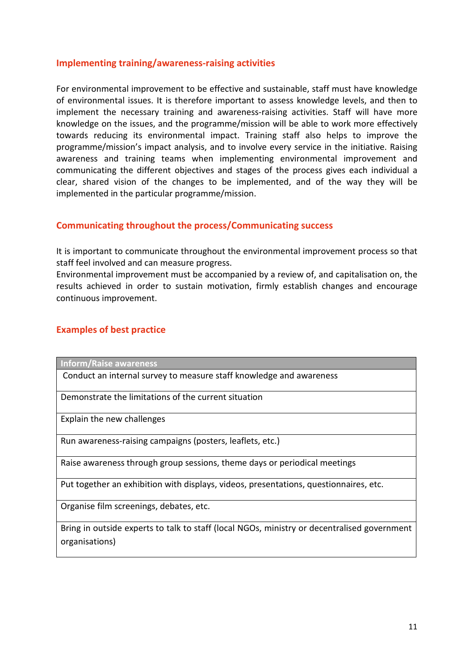### <span id="page-11-0"></span>**Implementing training/awareness-raising activities**

For environmental improvement to be effective and sustainable, staff must have knowledge of environmental issues. It is therefore important to assess knowledge levels, and then to implement the necessary training and awareness-raising activities. Staff will have more knowledge on the issues, and the programme/mission will be able to work more effectively towards reducing its environmental impact. Training staff also helps to improve the programme/mission's impact analysis, and to involve every service in the initiative. Raising awareness and training teams when implementing environmental improvement and communicating the different objectives and stages of the process gives each individual a clear, shared vision of the changes to be implemented, and of the way they will be implemented in the particular programme/mission.

### <span id="page-11-1"></span>**Communicating throughout the process/Communicating success**

It is important to communicate throughout the environmental improvement process so that staff feel involved and can measure progress.

Environmental improvement must be accompanied by a review of, and capitalisation on, the results achieved in order to sustain motivation, firmly establish changes and encourage continuous improvement.

### <span id="page-11-2"></span>**Examples of best practice**

**Inform/Raise awareness**

Conduct an internal survey to measure staff knowledge and awareness

Demonstrate the limitations of the current situation

Explain the new challenges

Run awareness-raising campaigns (posters, leaflets, etc.)

Raise awareness through group sessions, theme days or periodical meetings

Put together an exhibition with displays, videos, presentations, questionnaires, etc.

Organise film screenings, debates, etc.

Bring in outside experts to talk to staff (local NGOs, ministry or decentralised government organisations)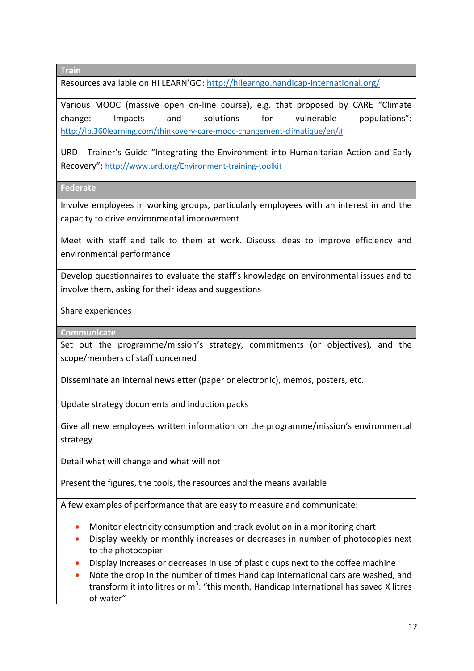**Train**

Resources available on HI LEARN'GO[: http://hilearngo.handicap-international.org/](http://hilearngo.handicap-international.org/)

Various MOOC (massive open on-line course), e.g. that proposed by CARE "Climate change: Impacts and solutions for vulnerable populations": [http://lp.360learning.com/thinkovery-care-mooc-changement-climatique/en/#](http://lp.360learning.com/thinkovery-care-mooc-changement-climatique/en/)

URD - Trainer's Guide "Integrating the Environment into Humanitarian Action and Early Recovery": <http://www.urd.org/Environment-training-toolkit>

**Federate**

Involve employees in working groups, particularly employees with an interest in and the capacity to drive environmental improvement

Meet with staff and talk to them at work. Discuss ideas to improve efficiency and environmental performance

Develop questionnaires to evaluate the staff's knowledge on environmental issues and to involve them, asking for their ideas and suggestions

Share experiences

**Communicate**

Set out the programme/mission's strategy, commitments (or objectives), and the scope/members of staff concerned

Disseminate an internal newsletter (paper or electronic), memos, posters, etc.

Update strategy documents and induction packs

Give all new employees written information on the programme/mission's environmental strategy

Detail what will change and what will not

Present the figures, the tools, the resources and the means available

A few examples of performance that are easy to measure and communicate:

- Monitor electricity consumption and track evolution in a monitoring chart
- Display weekly or monthly increases or decreases in number of photocopies next to the photocopier
- Display increases or decreases in use of plastic cups next to the coffee machine
- Note the drop in the number of times Handicap International cars are washed, and transform it into litres or  $m^3$ : "this month, Handicap International has saved X litres of water"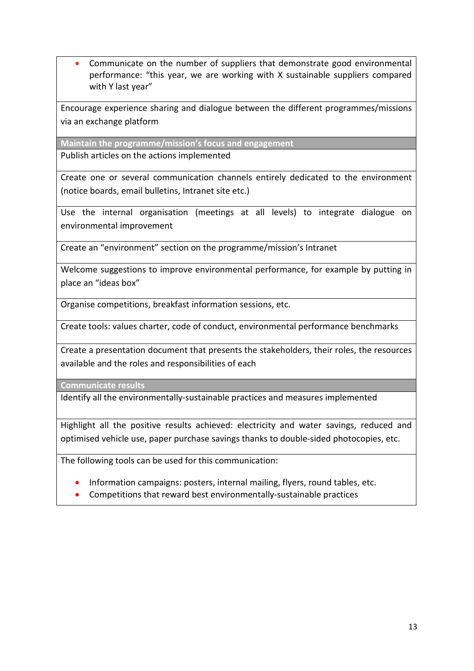• Communicate on the number of suppliers that demonstrate good environmental performance: "this year, we are working with X sustainable suppliers compared with Y last year"

Encourage experience sharing and dialogue between the different programmes/missions via an exchange platform

**Maintain the programme/mission's focus and engagement**

Publish articles on the actions implemented

Create one or several communication channels entirely dedicated to the environment (notice boards, email bulletins, Intranet site etc.)

Use the internal organisation (meetings at all levels) to integrate dialogue on environmental improvement

Create an "environment" section on the programme/mission's Intranet

Welcome suggestions to improve environmental performance, for example by putting in place an "ideas box"

Organise competitions, breakfast information sessions, etc.

Create tools: values charter, code of conduct, environmental performance benchmarks

Create a presentation document that presents the stakeholders, their roles, the resources available and the roles and responsibilities of each

**Communicate results**

Identify all the environmentally-sustainable practices and measures implemented

Highlight all the positive results achieved: electricity and water savings, reduced and optimised vehicle use, paper purchase savings thanks to double-sided photocopies, etc.

The following tools can be used for this communication:

- Information campaigns: posters, internal mailing, flyers, round tables, etc.
- Competitions that reward best environmentally-sustainable practices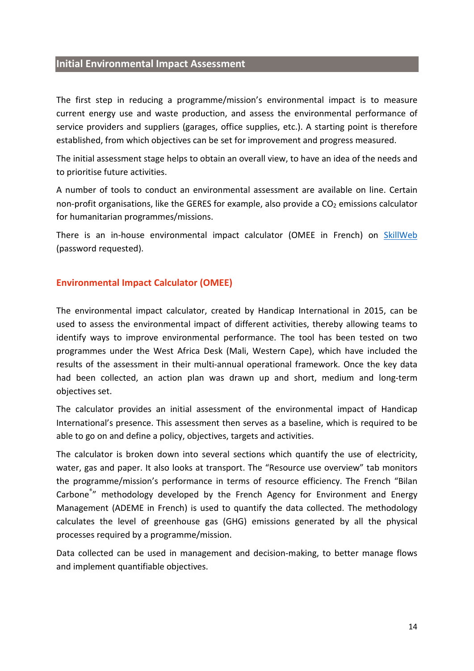### <span id="page-14-0"></span>**Initial Environmental Impact Assessment**

The first step in reducing a programme/mission's environmental impact is to measure current energy use and waste production, and assess the environmental performance of service providers and suppliers (garages, office supplies, etc.). A starting point is therefore established, from which objectives can be set for improvement and progress measured.

The initial assessment stage helps to obtain an overall view, to have an idea of the needs and to prioritise future activities.

A number of tools to conduct an environmental assessment are available on line. Certain non-profit organisations, like the GERES for example, also provide a  $CO<sub>2</sub>$  emissions calculator for humanitarian programmes/missions.

There is an in-house environmental impact calculator (OMEE in French) on [SkillWeb](http://www.hiproweb.org/en/home/sectors-of-activity/disaster-risk-management/docs/liste.html?tx_hidrtdocs_pi1%5BuidDoc%5D=1560&cHash=ffbd5e87a2) (password requested).

### <span id="page-14-1"></span>**Environmental Impact Calculator (OMEE)**

The environmental impact calculator, created by Handicap International in 2015, can be used to assess the environmental impact of different activities, thereby allowing teams to identify ways to improve environmental performance. The tool has been tested on two programmes under the West Africa Desk (Mali, Western Cape), which have included the results of the assessment in their multi-annual operational framework. Once the key data had been collected, an action plan was drawn up and short, medium and long-term objectives set.

The calculator provides an initial assessment of the environmental impact of Handicap International's presence. This assessment then serves as a baseline, which is required to be able to go on and define a policy, objectives, targets and activities.

The calculator is broken down into several sections which quantify the use of electricity, water, gas and paper. It also looks at transport. The "Resource use overview" tab monitors the programme/mission's performance in terms of resource efficiency. The French "Bilan Carbone<sup>®</sup>" methodology developed by the French Agency for Environment and Energy Management (ADEME in French) is used to quantify the data collected. The methodology calculates the level of greenhouse gas (GHG) emissions generated by all the physical processes required by a programme/mission.

Data collected can be used in management and decision-making, to better manage flows and implement quantifiable objectives.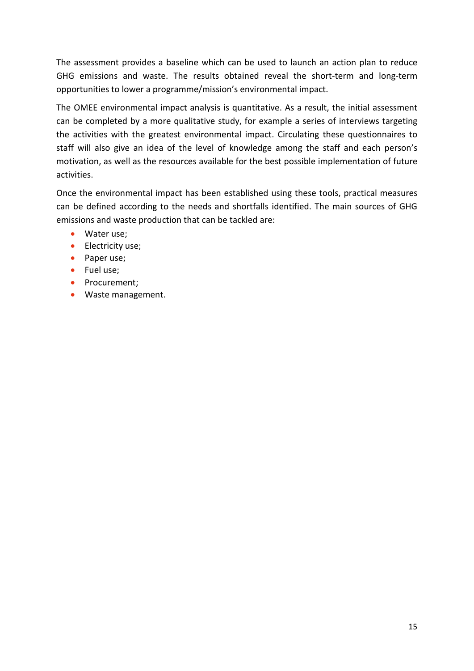The assessment provides a baseline which can be used to launch an action plan to reduce GHG emissions and waste. The results obtained reveal the short-term and long-term opportunities to lower a programme/mission's environmental impact.

The OMEE environmental impact analysis is quantitative. As a result, the initial assessment can be completed by a more qualitative study, for example a series of interviews targeting the activities with the greatest environmental impact. Circulating these questionnaires to staff will also give an idea of the level of knowledge among the staff and each person's motivation, as well as the resources available for the best possible implementation of future activities.

Once the environmental impact has been established using these tools, practical measures can be defined according to the needs and shortfalls identified. The main sources of GHG emissions and waste production that can be tackled are:

- Water use:
- Electricity use;
- Paper use;
- Fuel use:
- Procurement;
- Waste management.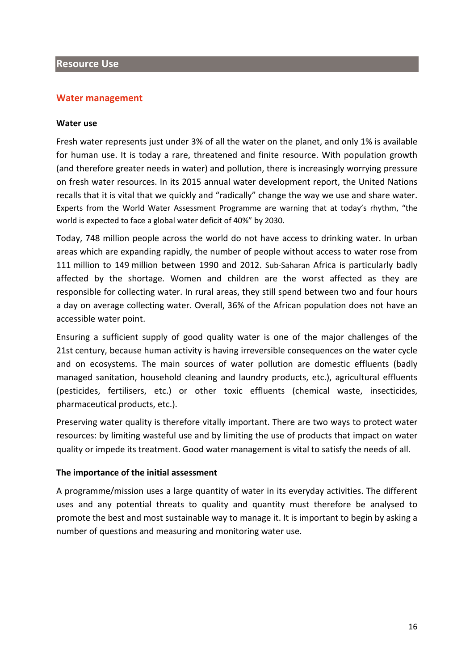### <span id="page-16-0"></span>**Resource Use**

### <span id="page-16-1"></span>**Water management**

### **Water use**

Fresh water represents just under 3% of all the water on the planet, and only 1% is available for human use. It is today a rare, threatened and finite resource. With population growth (and therefore greater needs in water) and pollution, there is increasingly worrying pressure on fresh water resources. In its 2015 annual water development report, the United Nations recalls that it is vital that we quickly and "radically" change the way we use and share water. Experts from the World Water Assessment Programme are warning that at today's rhythm, "the world is expected to face a global water deficit of 40%" by 2030.

Today, 748 million people across the world do not have access to drinking water. In urban areas which are expanding rapidly, the number of people without access to water rose from 111 million to 149 million between 1990 and 2012. Sub-Saharan [Africa](http://www.lemonde.fr/afrique/) is particularly badly affected by the shortage. Women and children are the worst affected as they are responsible for collecting water. In rural areas, they still spend between two and four hours a day on average collecting water. Overall, 36% of the African population does not have an accessible water point.

Ensuring a sufficient supply of good quality water is one of the major challenges of the 21st century, because human activity is having irreversible consequences on the water cycle and on ecosystems. The main sources of water pollution are domestic effluents (badly managed sanitation, household cleaning and laundry products, etc.), agricultural effluents (pesticides, fertilisers, etc.) or other toxic effluents (chemical waste, insecticides, pharmaceutical products, etc.).

Preserving water quality is therefore vitally important. There are two ways to protect water resources: by limiting wasteful use and by limiting the use of products that impact on water quality or impede its treatment. Good water management is vital to satisfy the needs of all.

### **The importance of the initial assessment**

A programme/mission uses a large quantity of water in its everyday activities. The different uses and any potential threats to quality and quantity must therefore be analysed to promote the best and most sustainable way to manage it. It is important to begin by asking a number of questions and measuring and monitoring water use.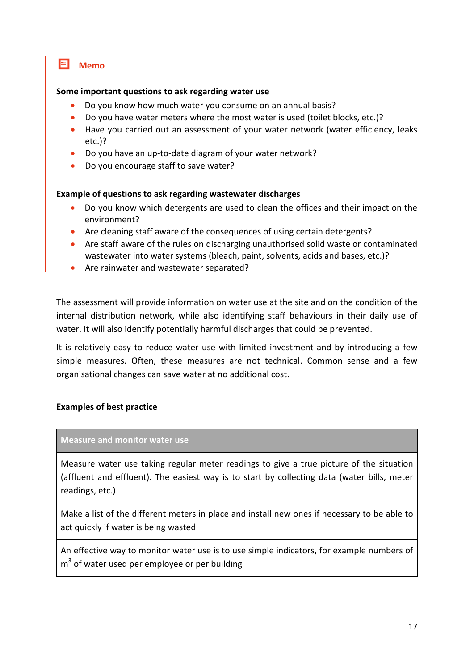**Memo**

### **Some important questions to ask regarding water use**

- Do you know how much water you consume on an annual basis?
- Do you have water meters where the most water is used (toilet blocks, etc.)?
- Have you carried out an assessment of your water network (water efficiency, leaks etc.)?
- Do you have an up-to-date diagram of your water network?
- Do you encourage staff to save water?

### **Example of questions to ask regarding wastewater discharges**

- Do you know which detergents are used to clean the offices and their impact on the environment?
- Are cleaning staff aware of the consequences of using certain detergents?
- Are staff aware of the rules on discharging unauthorised solid waste or contaminated wastewater into water systems (bleach, paint, solvents, acids and bases, etc.)?
- Are rainwater and wastewater separated?

The assessment will provide information on water use at the site and on the condition of the internal distribution network, while also identifying staff behaviours in their daily use of water. It will also identify potentially harmful discharges that could be prevented.

It is relatively easy to reduce water use with limited investment and by introducing a few simple measures. Often, these measures are not technical. Common sense and a few organisational changes can save water at no additional cost.

### **Examples of best practice**

### **Measure and monitor water use**

Measure water use taking regular meter readings to give a true picture of the situation (affluent and effluent). The easiest way is to start by collecting data (water bills, meter readings, etc.)

Make a list of the different meters in place and install new ones if necessary to be able to act quickly if water is being wasted

An effective way to monitor water use is to use simple indicators, for example numbers of  $m<sup>3</sup>$  of water used per employee or per building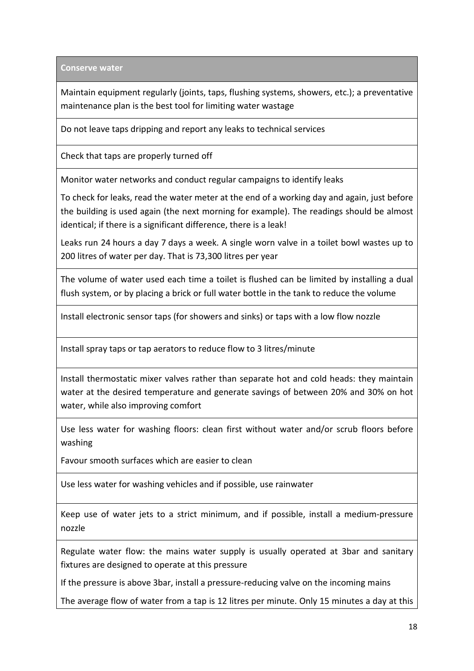**Conserve water**

Maintain equipment regularly (joints, taps, flushing systems, showers, etc.); a preventative maintenance plan is the best tool for limiting water wastage

Do not leave taps dripping and report any leaks to technical services

Check that taps are properly turned off

Monitor water networks and conduct regular campaigns to identify leaks

To check for leaks, read the water meter at the end of a working day and again, just before the building is used again (the next morning for example). The readings should be almost identical; if there is a significant difference, there is a leak!

Leaks run 24 hours a day 7 days a week. A single worn valve in a toilet bowl wastes up to 200 litres of water per day. That is 73,300 litres per year

The volume of water used each time a toilet is flushed can be limited by installing a dual flush system, or by placing a brick or full water bottle in the tank to reduce the volume

Install electronic sensor taps (for showers and sinks) or taps with a low flow nozzle

Install spray taps or tap aerators to reduce flow to 3 litres/minute

Install thermostatic mixer valves rather than separate hot and cold heads: they maintain water at the desired temperature and generate savings of between 20% and 30% on hot water, while also improving comfort

Use less water for washing floors: clean first without water and/or scrub floors before washing

Favour smooth surfaces which are easier to clean

Use less water for washing vehicles and if possible, use rainwater

Keep use of water jets to a strict minimum, and if possible, install a medium-pressure nozzle

Regulate water flow: the mains water supply is usually operated at 3bar and sanitary fixtures are designed to operate at this pressure

If the pressure is above 3bar, install a pressure-reducing valve on the incoming mains

The average flow of water from a tap is 12 litres per minute. Only 15 minutes a day at this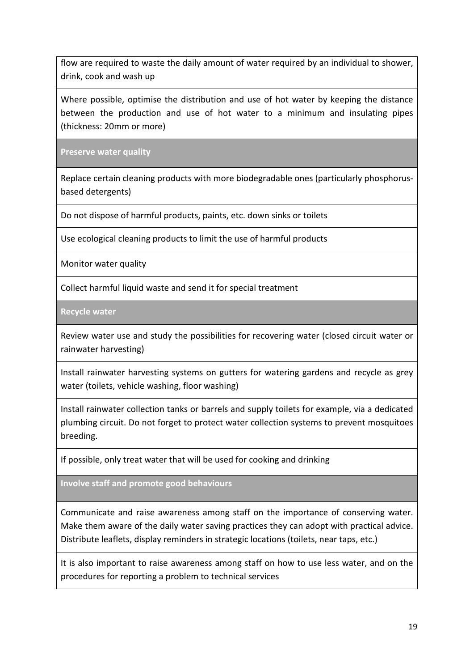flow are required to waste the daily amount of water required by an individual to shower, drink, cook and wash up

Where possible, optimise the distribution and use of hot water by keeping the distance between the production and use of hot water to a minimum and insulating pipes (thickness: 20mm or more)

**Preserve water quality**

Replace certain cleaning products with more biodegradable ones (particularly phosphorusbased detergents)

Do not dispose of harmful products, paints, etc. down sinks or toilets

Use ecological cleaning products to limit the use of harmful products

Monitor water quality

Collect harmful liquid waste and send it for special treatment

**Recycle water**

Review water use and study the possibilities for recovering water (closed circuit water or rainwater harvesting)

Install rainwater harvesting systems on gutters for watering gardens and recycle as grey water (toilets, vehicle washing, floor washing)

Install rainwater collection tanks or barrels and supply toilets for example, via a dedicated plumbing circuit. Do not forget to protect water collection systems to prevent mosquitoes breeding.

If possible, only treat water that will be used for cooking and drinking

**Involve staff and promote good behaviours**

Communicate and raise awareness among staff on the importance of conserving water. Make them aware of the daily water saving practices they can adopt with practical advice. Distribute leaflets, display reminders in strategic locations (toilets, near taps, etc.)

It is also important to raise awareness among staff on how to use less water, and on the procedures for reporting a problem to technical services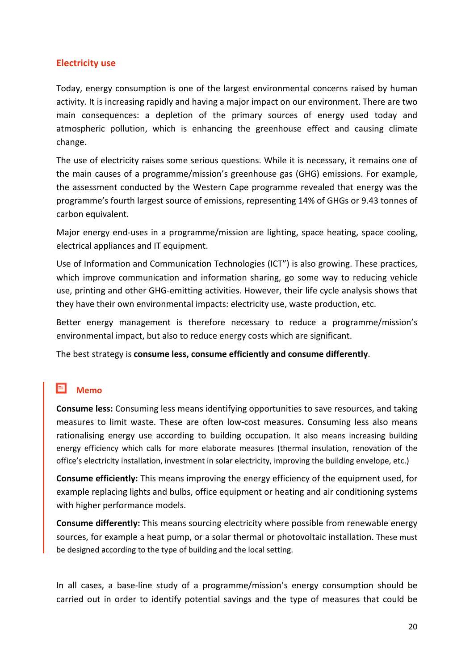### <span id="page-20-0"></span>**Electricity use**

Today, energy consumption is one of the largest environmental concerns raised by human activity. It is increasing rapidly and having a major impact on our environment. There are two main consequences: a depletion of the primary sources of energy used today and atmospheric pollution, which is enhancing the greenhouse effect and causing climate change.

The use of electricity raises some serious questions. While it is necessary, it remains one of the main causes of a programme/mission's greenhouse gas (GHG) emissions. For example, the assessment conducted by the Western Cape programme revealed that energy was the programme's fourth largest source of emissions, representing 14% of GHGs or 9.43 tonnes of carbon equivalent.

Major energy end-uses in a programme/mission are lighting, space heating, space cooling, electrical appliances and IT equipment.

Use of Information and Communication Technologies (ICT") is also growing. These practices, which improve communication and information sharing, go some way to reducing vehicle use, printing and other GHG-emitting activities. However, their life cycle analysis shows that they have their own environmental impacts: electricity use, waste production, etc.

Better energy management is therefore necessary to reduce a programme/mission's environmental impact, but also to reduce energy costs which are significant.

The best strategy is **consume less, consume efficiently and consume differently**.

#### 冃 **Memo**

**Consume less:** Consuming less means identifying opportunities to save resources, and taking measures to limit waste. These are often low-cost measures. Consuming less also means rationalising energy use according to building occupation. It also means increasing building energy efficiency which calls for more elaborate measures (thermal insulation, renovation of the office's electricity installation, investment in solar electricity, improving the building envelope, etc.)

**Consume efficiently:** This means improving the energy efficiency of the equipment used, for example replacing lights and bulbs, office equipment or heating and air conditioning systems with higher performance models.

**Consume differently:** This means sourcing electricity where possible from renewable energy sources, for example a heat pump, or a solar thermal or photovoltaic installation. These must be designed according to the type of building and the local setting.

In all cases, a base-line study of a programme/mission's energy consumption should be carried out in order to identify potential savings and the type of measures that could be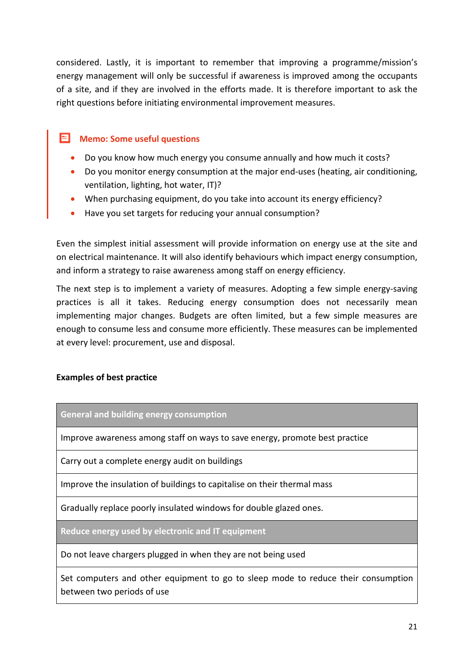considered. Lastly, it is important to remember that improving a programme/mission's energy management will only be successful if awareness is improved among the occupants of a site, and if they are involved in the efforts made. It is therefore important to ask the right questions before initiating environmental improvement measures.

### **E** Memo: Some useful questions

- Do you know how much energy you consume annually and how much it costs?
- Do you monitor energy consumption at the major end-uses (heating, air conditioning, ventilation, lighting, hot water, IT)?
- When purchasing equipment, do you take into account its energy efficiency?
- Have you set targets for reducing your annual consumption?

Even the simplest initial assessment will provide information on energy use at the site and on electrical maintenance. It will also identify behaviours which impact energy consumption, and inform a strategy to raise awareness among staff on energy efficiency.

The next step is to implement a variety of measures. Adopting a few simple energy-saving practices is all it takes. Reducing energy consumption does not necessarily mean implementing major changes. Budgets are often limited, but a few simple measures are enough to consume less and consume more efficiently. These measures can be implemented at every level: procurement, use and disposal.

### **Examples of best practice**

**General and building energy consumption**

Improve awareness among staff on ways to save energy, promote best practice

Carry out a complete energy audit on buildings

Improve the insulation of buildings to capitalise on their thermal mass

Gradually replace poorly insulated windows for double glazed ones.

**Reduce energy used by electronic and IT equipment**

Do not leave chargers plugged in when they are not being used

Set computers and other equipment to go to sleep mode to reduce their consumption between two periods of use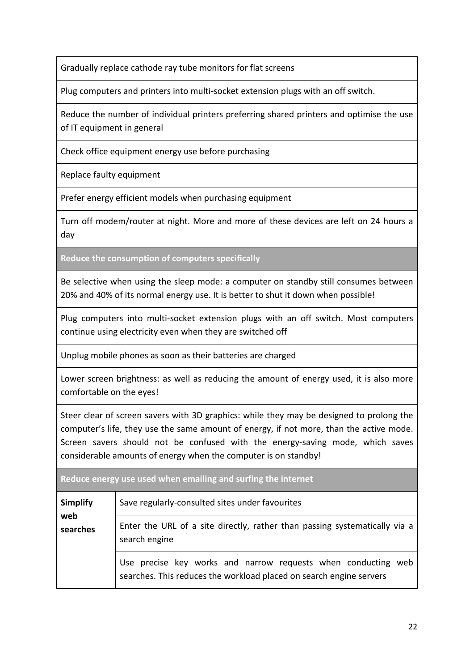Gradually replace cathode ray tube monitors for flat screens

Plug computers and printers into multi-socket extension plugs with an off switch.

Reduce the number of individual printers preferring shared printers and optimise the use of IT equipment in general

Check office equipment energy use before purchasing

Replace faulty equipment

Prefer energy efficient models when purchasing equipment

Turn off modem/router at night. More and more of these devices are left on 24 hours a day

**Reduce the consumption of computers specifically**

Be selective when using the sleep mode: a computer on standby still consumes between 20% and 40% of its normal energy use. It is better to shut it down when possible!

Plug computers into multi-socket extension plugs with an off switch. Most computers continue using electricity even when they are switched off

Unplug mobile phones as soon as their batteries are charged

Lower screen brightness: as well as reducing the amount of energy used, it is also more comfortable on the eyes!

Steer clear of screen savers with 3D graphics: while they may be designed to prolong the computer's life, they use the same amount of energy, if not more, than the active mode. Screen savers should not be confused with the energy-saving mode, which saves considerable amounts of energy when the computer is on standby!

**Reduce energy use used when emailing and surfing the internet**

| <b>Simplify</b> | Save regularly-consulted sites under favourites                                                                                      |  |
|-----------------|--------------------------------------------------------------------------------------------------------------------------------------|--|
| web<br>searches | Enter the URL of a site directly, rather than passing systematically via a<br>search engine                                          |  |
|                 | Use precise key works and narrow requests when conducting web<br>searches. This reduces the workload placed on search engine servers |  |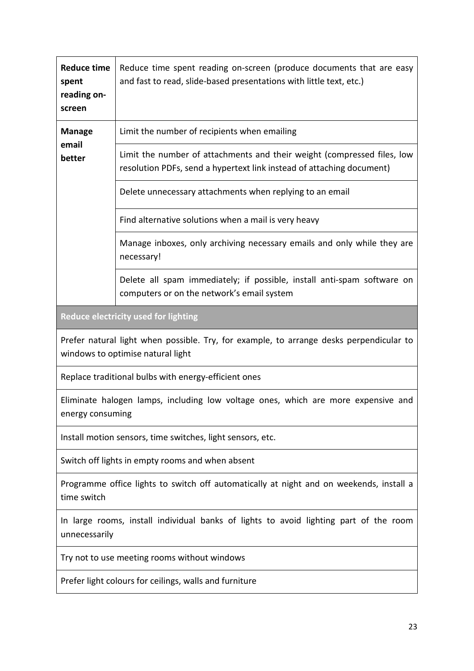| <b>Reduce time</b><br>spent<br>reading on-<br>screen | Reduce time spent reading on-screen (produce documents that are easy<br>and fast to read, slide-based presentations with little text, etc.)      |
|------------------------------------------------------|--------------------------------------------------------------------------------------------------------------------------------------------------|
| <b>Manage</b>                                        | Limit the number of recipients when emailing                                                                                                     |
| email<br>better                                      | Limit the number of attachments and their weight (compressed files, low<br>resolution PDFs, send a hypertext link instead of attaching document) |
|                                                      | Delete unnecessary attachments when replying to an email                                                                                         |
|                                                      | Find alternative solutions when a mail is very heavy                                                                                             |
|                                                      | Manage inboxes, only archiving necessary emails and only while they are<br>necessary!                                                            |
|                                                      | Delete all spam immediately; if possible, install anti-spam software on<br>computers or on the network's email system                            |
|                                                      | Reduce electricity used for lighting                                                                                                             |
|                                                      | Prefer natural light when possible. Try, for example, to arrange desks perpendicular to<br>windows to optimise natural light                     |
|                                                      | Replace traditional bulbs with energy-efficient ones                                                                                             |
| energy consuming                                     | Eliminate halogen lamps, including low voltage ones, which are more expensive and                                                                |
|                                                      | Install motion sensors, time switches, light sensors, etc.                                                                                       |
|                                                      | Switch off lights in empty rooms and when absent                                                                                                 |
| time switch                                          | Programme office lights to switch off automatically at night and on weekends, install a                                                          |
| unnecessarily                                        | In large rooms, install individual banks of lights to avoid lighting part of the room                                                            |
|                                                      | Try not to use meeting rooms without windows                                                                                                     |
|                                                      | Prefer light colours for ceilings, walls and furniture                                                                                           |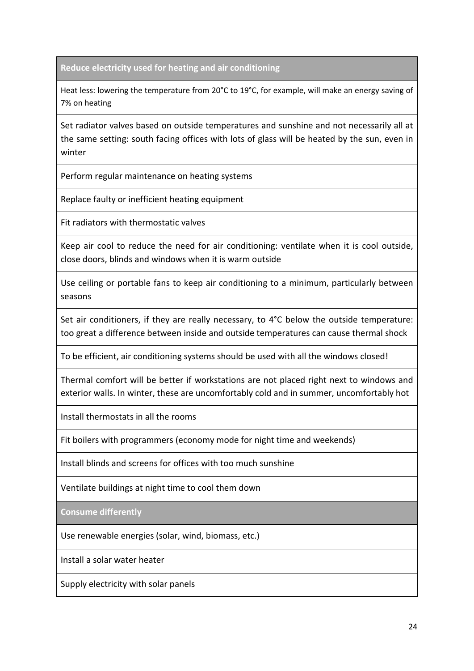**Reduce electricity used for heating and air conditioning**

Heat less: lowering the temperature from 20°C to 19°C, for example, will make an energy saving of 7% on heating

Set radiator valves based on outside temperatures and sunshine and not necessarily all at the same setting: south facing offices with lots of glass will be heated by the sun, even in winter

Perform regular maintenance on heating systems

Replace faulty or inefficient heating equipment

Fit radiators with thermostatic valves

Keep air cool to reduce the need for air conditioning: ventilate when it is cool outside, close doors, blinds and windows when it is warm outside

Use ceiling or portable fans to keep air conditioning to a minimum, particularly between seasons

Set air conditioners, if they are really necessary, to 4°C below the outside temperature: too great a difference between inside and outside temperatures can cause thermal shock

To be efficient, air conditioning systems should be used with all the windows closed!

Thermal comfort will be better if workstations are not placed right next to windows and exterior walls. In winter, these are uncomfortably cold and in summer, uncomfortably hot

Install thermostats in all the rooms

Fit boilers with programmers (economy mode for night time and weekends)

Install blinds and screens for offices with too much sunshine

Ventilate buildings at night time to cool them down

**Consume differently**

Use renewable energies (solar, wind, biomass, etc.)

Install a solar water heater

Supply electricity with solar panels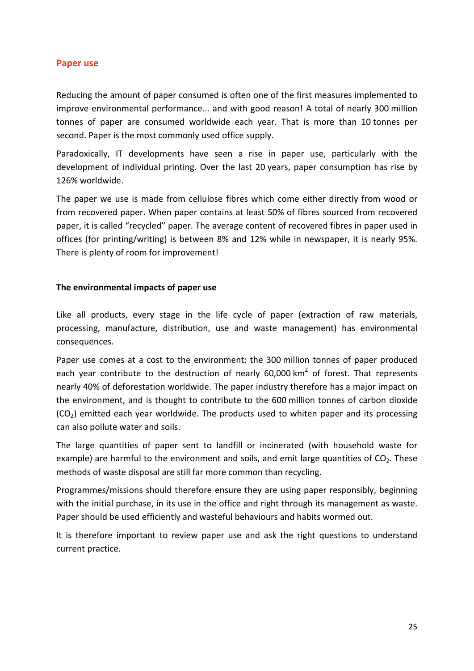### <span id="page-25-0"></span>**Paper use**

Reducing the amount of paper consumed is often one of the first measures implemented to improve environmental performance... and with good reason! A total of nearly 300 million tonnes of paper are consumed worldwide each year. That is more than 10 tonnes per second. Paper is the most commonly used office supply.

Paradoxically, IT developments have seen a rise in paper use, particularly with the development of individual printing. Over the last 20 years, paper consumption has rise by 126% worldwide.

The paper we use is made from cellulose fibres which come either directly from wood or from recovered paper. When paper contains at least 50% of fibres sourced from recovered paper, it is called "recycled" paper. The average content of recovered fibres in paper used in offices (for printing/writing) is between 8% and 12% while in newspaper, it is nearly 95%. There is plenty of room for improvement!

### **The environmental impacts of paper use**

Like all products, every stage in the life cycle of paper (extraction of raw materials, processing, manufacture, distribution, use and waste management) has environmental consequences.

Paper use comes at a cost to the environment: the 300 million tonnes of paper produced each year contribute to the destruction of nearly  $60,000$  km<sup>2</sup> of forest. That represents nearly 40% of deforestation worldwide. The paper industry therefore has a major impact on the environment, and is thought to contribute to the 600 million tonnes of carbon dioxide  $(CO<sub>2</sub>)$  emitted each year worldwide. The products used to whiten paper and its processing can also pollute water and soils.

The large quantities of paper sent to landfill or incinerated (with household waste for example) are harmful to the environment and soils, and emit large quantities of  $CO<sub>2</sub>$ . These methods of waste disposal are still far more common than recycling.

Programmes/missions should therefore ensure they are using paper responsibly, beginning with the initial purchase, in its use in the office and right through its management as waste. Paper should be used efficiently and wasteful behaviours and habits wormed out.

It is therefore important to review paper use and ask the right questions to understand current practice.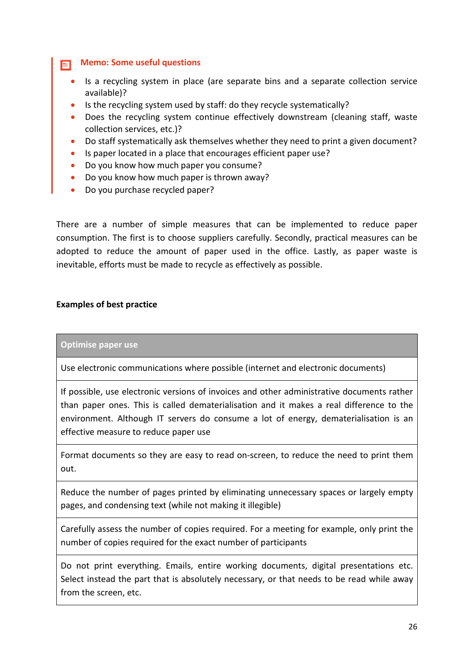**Memo: Some useful questions** E.

- Is a recycling system in place (are separate bins and a separate collection service available)?
- Is the recycling system used by staff: do they recycle systematically?
- Does the recycling system continue effectively downstream (cleaning staff, waste collection services, etc.)?
- Do staff systematically ask themselves whether they need to print a given document?
- Is paper located in a place that encourages efficient paper use?
- Do you know how much paper you consume?
- Do you know how much paper is thrown away?
- Do you purchase recycled paper?

There are a number of simple measures that can be implemented to reduce paper consumption. The first is to choose suppliers carefully. Secondly, practical measures can be adopted to reduce the amount of paper used in the office. Lastly, as paper waste is inevitable, efforts must be made to recycle as effectively as possible.

### **Examples of best practice**

### **Optimise paper use**

Use electronic communications where possible (internet and electronic documents)

If possible, use electronic versions of invoices and other administrative documents rather than paper ones. This is called dematerialisation and it makes a real difference to the environment. Although IT servers do consume a lot of energy, dematerialisation is an effective measure to reduce paper use

Format documents so they are easy to read on-screen, to reduce the need to print them out.

Reduce the number of pages printed by eliminating unnecessary spaces or largely empty pages, and condensing text (while not making it illegible)

Carefully assess the number of copies required. For a meeting for example, only print the number of copies required for the exact number of participants

Do not print everything. Emails, entire working documents, digital presentations etc. Select instead the part that is absolutely necessary, or that needs to be read while away from the screen, etc.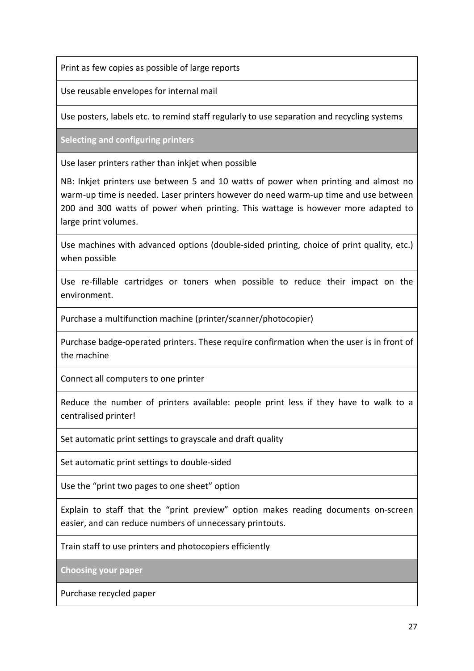Print as few copies as possible of large reports

Use reusable envelopes for internal mail

Use posters, labels etc. to remind staff regularly to use separation and recycling systems

**Selecting and configuring printers**

Use laser printers rather than inkjet when possible

NB: Inkjet printers use between 5 and 10 watts of power when printing and almost no warm-up time is needed. Laser printers however do need warm-up time and use between 200 and 300 watts of power when printing. This wattage is however more adapted to large print volumes.

Use machines with advanced options (double-sided printing, choice of print quality, etc.) when possible

Use re-fillable cartridges or toners when possible to reduce their impact on the environment.

Purchase a multifunction machine (printer/scanner/photocopier)

Purchase badge-operated printers. These require confirmation when the user is in front of the machine

Connect all computers to one printer

Reduce the number of printers available: people print less if they have to walk to a centralised printer!

Set automatic print settings to grayscale and draft quality

Set automatic print settings to double-sided

Use the "print two pages to one sheet" option

Explain to staff that the "print preview" option makes reading documents on-screen easier, and can reduce numbers of unnecessary printouts.

Train staff to use printers and photocopiers efficiently

**Choosing your paper**

Purchase recycled paper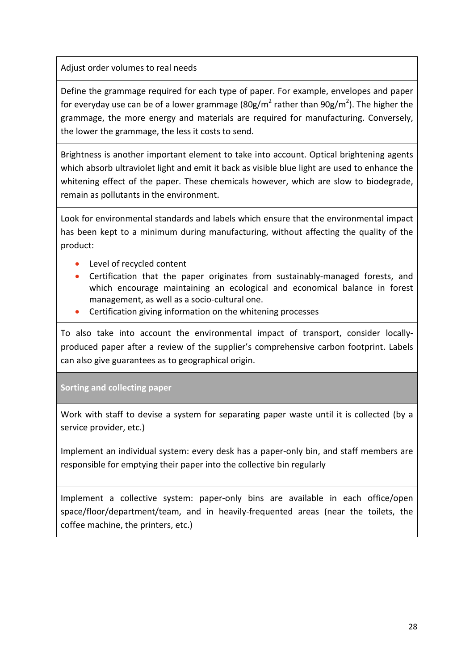Adjust order volumes to real needs

Define the grammage required for each type of paper. For example, envelopes and paper for everyday use can be of a lower grammage (80g/m<sup>2</sup> rather than 90g/m<sup>2</sup>). The higher the grammage, the more energy and materials are required for manufacturing. Conversely, the lower the grammage, the less it costs to send.

Brightness is another important element to take into account. Optical brightening agents which absorb ultraviolet light and emit it back as visible blue light are used to enhance the whitening effect of the paper. These chemicals however, which are slow to biodegrade, remain as pollutants in the environment.

Look for environmental standards and labels which ensure that the environmental impact has been kept to a minimum during manufacturing, without affecting the quality of the product:

- Level of recycled content
- Certification that the paper originates from sustainably-managed forests, and which encourage maintaining an ecological and economical balance in forest management, as well as a socio-cultural one.
- Certification giving information on the whitening processes

To also take into account the environmental impact of transport, consider locallyproduced paper after a review of the supplier's comprehensive carbon footprint. Labels can also give guarantees as to geographical origin.

**Sorting and collecting paper**

Work with staff to devise a system for separating paper waste until it is collected (by a service provider, etc.)

Implement an individual system: every desk has a paper-only bin, and staff members are responsible for emptying their paper into the collective bin regularly

<span id="page-28-0"></span>Implement a collective system: paper-only bins are available in each office/open space/floor/department/team, and in heavily-frequented areas (near the toilets, the coffee machine, the printers, etc.)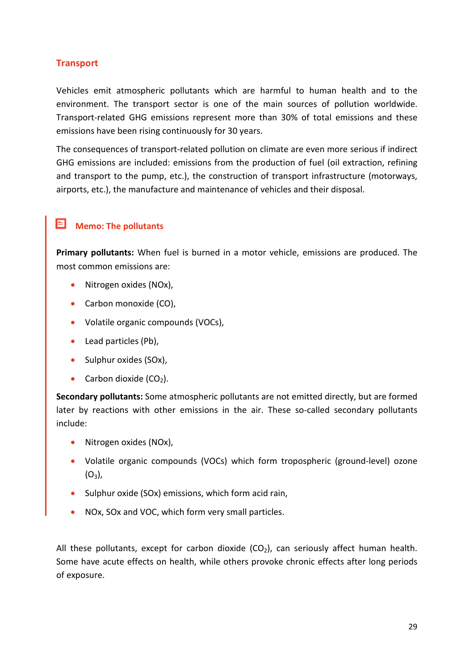### **Transport**

Vehicles emit atmospheric pollutants which are harmful to human health and to the environment. The transport sector is one of the main sources of pollution worldwide. Transport-related GHG emissions represent more than 30% of total emissions and these emissions have been rising continuously for 30 years.

The consequences of transport-related pollution on climate are even more serious if indirect GHG emissions are included: emissions from the production of fuel (oil extraction, refining and transport to the pump, etc.), the construction of transport infrastructure (motorways, airports, etc.), the manufacture and maintenance of vehicles and their disposal.

## **Memo: The pollutants**

**Primary pollutants:** When fuel is burned in a motor vehicle, emissions are produced. The most common emissions are:

- Nitrogen oxides (NOx),
- Carbon monoxide (CO).
- Volatile organic compounds (VOCs),
- Lead particles (Pb),
- Sulphur oxides (SOx),
- Carbon dioxide  $(CO<sub>2</sub>)$ .

**Secondary pollutants:** Some atmospheric pollutants are not emitted directly, but are formed later by reactions with other emissions in the air. These so-called secondary pollutants include:

- Nitrogen oxides (NOx).
- Volatile organic compounds (VOCs) which form tropospheric (ground-level) ozone  $(O_3)$ ,
- Sulphur oxide (SOx) emissions, which form acid rain,
- NOx, SOx and VOC, which form very small particles.

All these pollutants, except for carbon dioxide  $(CO_2)$ , can seriously affect human health. Some have acute effects on health, while others provoke chronic effects after long periods of exposure.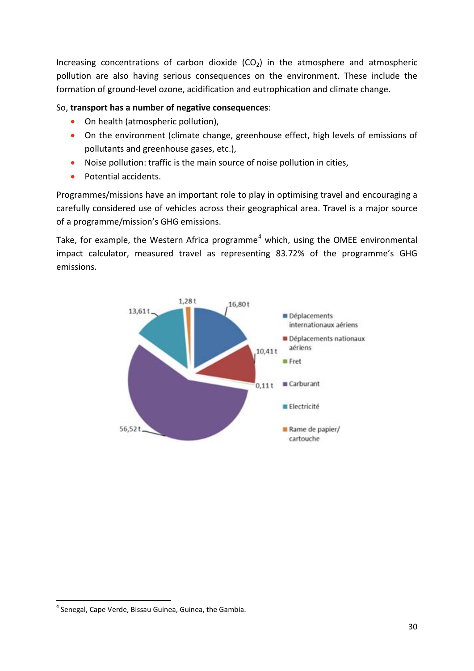Increasing concentrations of carbon dioxide  $(CO<sub>2</sub>)$  in the atmosphere and atmospheric pollution are also having serious consequences on the environment. These include the formation of ground-level ozone, acidification and eutrophication and climate change.

### So, **transport has a number of negative consequences**:

- On health (atmospheric pollution),
- On the environment (climate change, greenhouse effect, high levels of emissions of pollutants and greenhouse gases, etc.),
- Noise pollution: traffic is the main source of noise pollution in cities,
- Potential accidents.

Programmes/missions have an important role to play in optimising travel and encouraging a carefully considered use of vehicles across their geographical area. Travel is a major source of a programme/mission's GHG emissions.

Take, for example, the Western Africa programme<sup>[4](#page-30-0)</sup> which, using the OMEE environmental impact calculator, measured travel as representing 83.72% of the programme's GHG emissions.



 $\overline{a}$ 

<span id="page-30-0"></span><sup>&</sup>lt;sup>4</sup> Senegal, Cape Verde, Bissau Guinea, Guinea, the Gambia.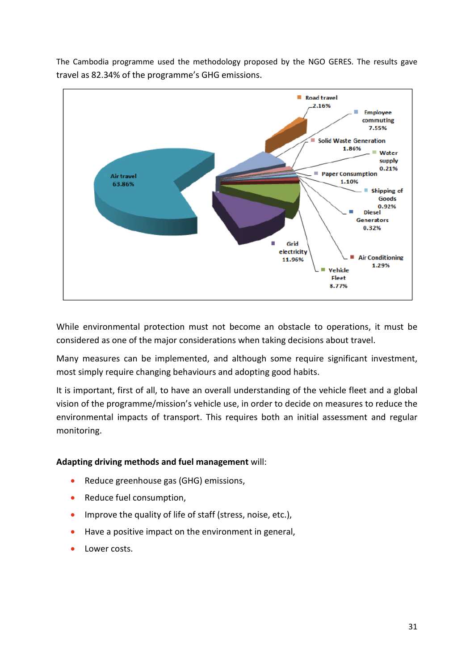

The Cambodia programme used the methodology proposed by the NGO GERES. The results gave travel as 82.34% of the programme's GHG emissions.

While environmental protection must not become an obstacle to operations, it must be considered as one of the major considerations when taking decisions about travel.

Many measures can be implemented, and although some require significant investment, most simply require changing behaviours and adopting good habits.

It is important, first of all, to have an overall understanding of the vehicle fleet and a global vision of the programme/mission's vehicle use, in order to decide on measures to reduce the environmental impacts of transport. This requires both an initial assessment and regular monitoring.

### **Adapting driving methods and fuel management** will:

- Reduce greenhouse gas (GHG) emissions,
- Reduce fuel consumption,
- Improve the quality of life of staff (stress, noise, etc.),
- Have a positive impact on the environment in general,
- Lower costs.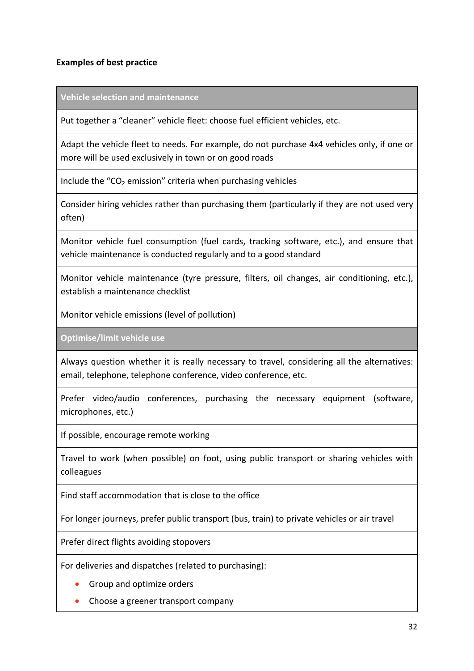### **Examples of best practice**

**Vehicle selection and maintenance**

Put together a "cleaner" vehicle fleet: choose fuel efficient vehicles, etc.

Adapt the vehicle fleet to needs. For example, do not purchase 4x4 vehicles only, if one or more will be used exclusively in town or on good roads

Include the " $CO<sub>2</sub>$  emission" criteria when purchasing vehicles

Consider hiring vehicles rather than purchasing them (particularly if they are not used very often)

Monitor vehicle fuel consumption (fuel cards, tracking software, etc.), and ensure that vehicle maintenance is conducted regularly and to a good standard

Monitor vehicle maintenance (tyre pressure, filters, oil changes, air conditioning, etc.), establish a maintenance checklist

Monitor vehicle emissions (level of pollution)

**Optimise/limit vehicle use**

Always question whether it is really necessary to travel, considering all the alternatives: email, telephone, telephone conference, video conference, etc.

Prefer video/audio conferences, purchasing the necessary equipment (software, microphones, etc.)

If possible, encourage remote working

Travel to work (when possible) on foot, using public transport or sharing vehicles with colleagues

Find staff accommodation that is close to the office

For longer journeys, prefer public transport (bus, train) to private vehicles or air travel

Prefer direct flights avoiding stopovers

For deliveries and dispatches (related to purchasing):

- Group and optimize orders
- Choose a greener transport company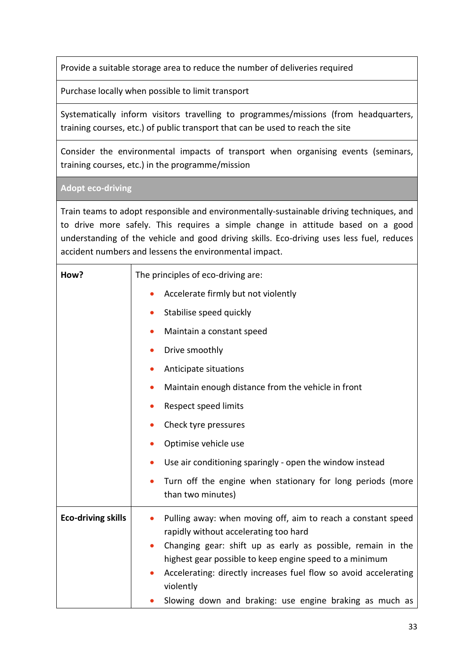Provide a suitable storage area to reduce the number of deliveries required

Purchase locally when possible to limit transport

Systematically inform visitors travelling to programmes/missions (from headquarters, training courses, etc.) of public transport that can be used to reach the site

Consider the environmental impacts of transport when organising events (seminars, training courses, etc.) in the programme/mission

**Adopt eco-driving**

Train teams to adopt responsible and environmentally-sustainable driving techniques, and to drive more safely. This requires a simple change in attitude based on a good understanding of the vehicle and good driving skills. Eco-driving uses less fuel, reduces accident numbers and lessens the environmental impact.

| How?                      | The principles of eco-driving are:                                                                                                       |  |
|---------------------------|------------------------------------------------------------------------------------------------------------------------------------------|--|
|                           | Accelerate firmly but not violently                                                                                                      |  |
|                           | Stabilise speed quickly                                                                                                                  |  |
|                           | Maintain a constant speed                                                                                                                |  |
|                           | Drive smoothly                                                                                                                           |  |
|                           | Anticipate situations                                                                                                                    |  |
|                           | Maintain enough distance from the vehicle in front                                                                                       |  |
|                           | Respect speed limits                                                                                                                     |  |
|                           | Check tyre pressures                                                                                                                     |  |
|                           | Optimise vehicle use                                                                                                                     |  |
|                           | Use air conditioning sparingly - open the window instead                                                                                 |  |
|                           | Turn off the engine when stationary for long periods (more<br>than two minutes)                                                          |  |
| <b>Eco-driving skills</b> | Pulling away: when moving off, aim to reach a constant speed<br>$\bullet$<br>rapidly without accelerating too hard                       |  |
|                           | Changing gear: shift up as early as possible, remain in the<br>$\bullet$                                                                 |  |
|                           | highest gear possible to keep engine speed to a minimum<br>Accelerating: directly increases fuel flow so avoid accelerating<br>violently |  |
|                           | Slowing down and braking: use engine braking as much as                                                                                  |  |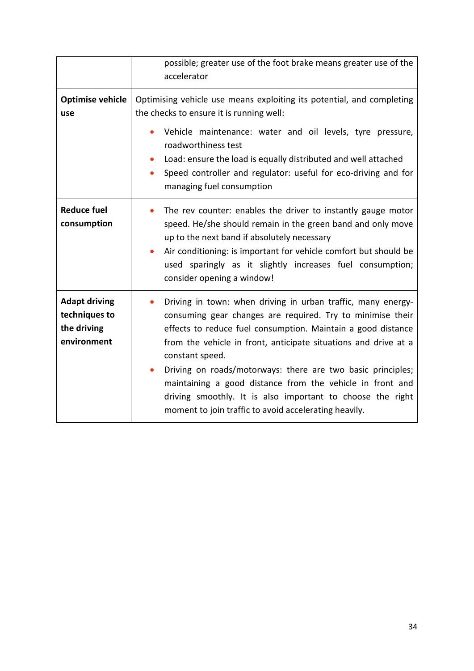|                                                                     | possible; greater use of the foot brake means greater use of the<br>accelerator                                                                                                                                                                                                                                                                                                                                                                                                                                                     |  |
|---------------------------------------------------------------------|-------------------------------------------------------------------------------------------------------------------------------------------------------------------------------------------------------------------------------------------------------------------------------------------------------------------------------------------------------------------------------------------------------------------------------------------------------------------------------------------------------------------------------------|--|
| <b>Optimise vehicle</b><br>use                                      | Optimising vehicle use means exploiting its potential, and completing<br>the checks to ensure it is running well:<br>Vehicle maintenance: water and oil levels, tyre pressure,<br>roadworthiness test<br>Load: ensure the load is equally distributed and well attached<br>Speed controller and regulator: useful for eco-driving and for<br>managing fuel consumption                                                                                                                                                              |  |
| <b>Reduce fuel</b><br>consumption                                   | The rev counter: enables the driver to instantly gauge motor<br>speed. He/she should remain in the green band and only move<br>up to the next band if absolutely necessary<br>Air conditioning: is important for vehicle comfort but should be<br>used sparingly as it slightly increases fuel consumption;<br>consider opening a window!                                                                                                                                                                                           |  |
| <b>Adapt driving</b><br>techniques to<br>the driving<br>environment | Driving in town: when driving in urban traffic, many energy-<br>consuming gear changes are required. Try to minimise their<br>effects to reduce fuel consumption. Maintain a good distance<br>from the vehicle in front, anticipate situations and drive at a<br>constant speed.<br>Driving on roads/motorways: there are two basic principles;<br>maintaining a good distance from the vehicle in front and<br>driving smoothly. It is also important to choose the right<br>moment to join traffic to avoid accelerating heavily. |  |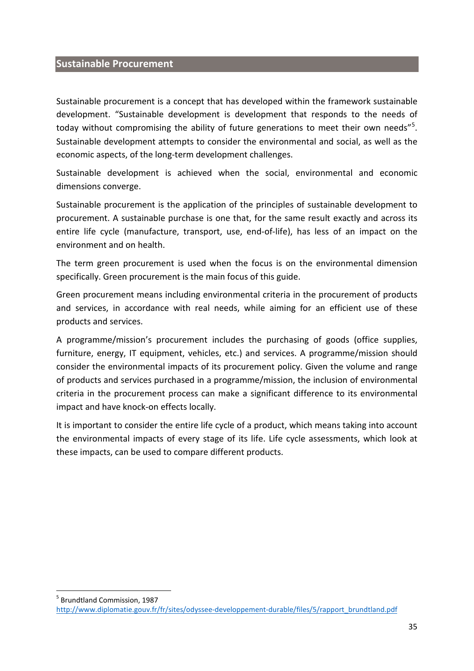### <span id="page-35-0"></span>**Sustainable Procurement**

 $\overline{a}$ 

Sustainable procurement is a concept that has developed within the framework sustainable development. "Sustainable development is development that responds to the needs of today without compromising the ability of future generations to meet their own needs"<sup>[5](#page-35-1)</sup>. Sustainable development attempts to consider the environmental and social, as well as the economic aspects, of the long-term development challenges.

Sustainable development is achieved when the social, environmental and economic dimensions converge.

Sustainable procurement is the application of the principles of sustainable development to procurement. A sustainable purchase is one that, for the same result exactly and across its entire life cycle (manufacture, transport, use, end-of-life), has less of an impact on the environment and on health.

The term [green procurement](https://fr.wikipedia.org/wiki/Achats_verts) is used when the focus is on the environmental dimension specifically. Green procurement is the main focus of this guide.

Green procurement means including environmental criteria in the procurement of products and services, in accordance with real needs, while aiming for an efficient use of these products and services.

A programme/mission's procurement includes the purchasing of goods (office supplies, furniture, energy, IT equipment, vehicles, etc.) and services. A programme/mission should consider the environmental impacts of its procurement policy. Given the volume and range of products and services purchased in a programme/mission, the inclusion of environmental criteria in the procurement process can make a significant difference to its environmental impact and have knock-on effects locally.

It is important to consider the entire life cycle of a product, which means taking into account the environmental impacts of every stage of its life. Life cycle assessments, which look at these impacts, can be used to compare different products.

<span id="page-35-1"></span><sup>5</sup> Brundtland Commission, 1987 [http://www.diplomatie.gouv.fr/fr/sites/odyssee-developpement-durable/files/5/rapport\\_brundtland.pdf](http://www.diplomatie.gouv.fr/fr/sites/odyssee-developpement-durable/files/5/rapport_brundtland.pdf)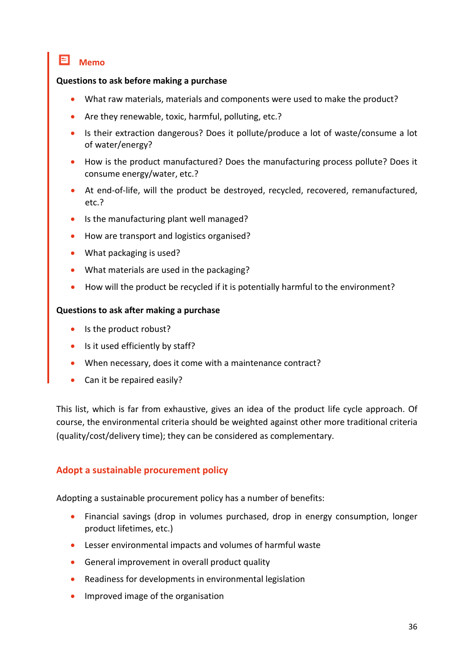### **Memo**

### **Questions to ask before making a purchase**

- What raw materials, materials and components were used to make the product?
- Are they renewable, toxic, harmful, polluting, etc.?
- Is their extraction dangerous? Does it pollute/produce a lot of waste/consume a lot of water/energy?
- How is the product manufactured? Does the manufacturing process pollute? Does it consume energy/water, etc.?
- At end-of-life, will the product be destroyed, recycled, recovered, remanufactured, etc.?
- Is the manufacturing plant well managed?
- How are transport and logistics organised?
- What packaging is used?
- What materials are used in the packaging?
- How will the product be recycled if it is potentially harmful to the environment?

### **Questions to ask after making a purchase**

- Is the product robust?
- Is it used efficiently by staff?
- When necessary, does it come with a maintenance contract?
- Can it be repaired easily?

This list, which is far from exhaustive, gives an idea of the product life cycle approach. Of course, the environmental criteria should be weighted against other more traditional criteria (quality/cost/delivery time); they can be considered as complementary.

### <span id="page-36-0"></span>**Adopt a sustainable procurement policy**

Adopting a sustainable procurement policy has a number of benefits:

- Financial savings (drop in volumes purchased, drop in energy consumption, longer product lifetimes, etc.)
- Lesser environmental impacts and volumes of harmful waste
- General improvement in overall product quality
- Readiness for developments in environmental legislation
- Improved image of the organisation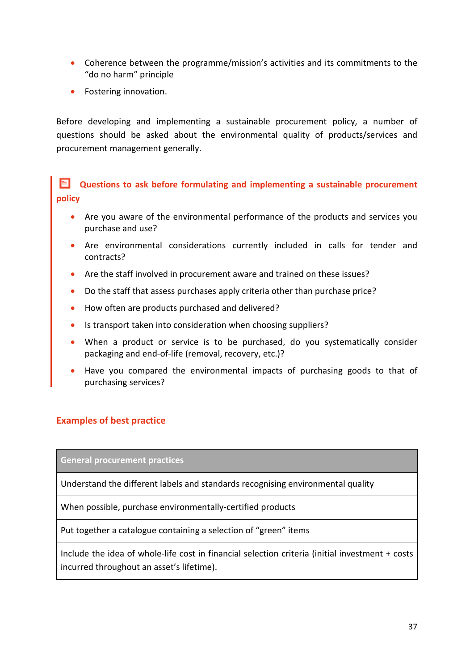- Coherence between the programme/mission's activities and its commitments to the "do no harm" principle
- Fostering innovation.

Before developing and implementing a sustainable procurement policy, a number of questions should be asked about the environmental quality of products/services and procurement management generally.

**Questions to ask before formulating and implementing a sustainable procurement policy**

- Are you aware of the environmental performance of the products and services you purchase and use?
- Are environmental considerations currently included in calls for tender and contracts?
- Are the staff involved in procurement aware and trained on these issues?
- Do the staff that assess purchases apply criteria other than purchase price?
- How often are products purchased and delivered?
- Is transport taken into consideration when choosing suppliers?
- When a product or service is to be purchased, do you systematically consider packaging and end-of-life (removal, recovery, etc.)?
- Have you compared the environmental impacts of purchasing goods to that of purchasing services?

### <span id="page-37-0"></span>**Examples of best practice**

**General procurement practices**

Understand the different labels and standards recognising environmental quality

When possible, purchase environmentally-certified products

Put together a catalogue containing a selection of "green" items

Include the idea of whole-life cost in financial selection criteria (initial investment + costs incurred throughout an asset's lifetime).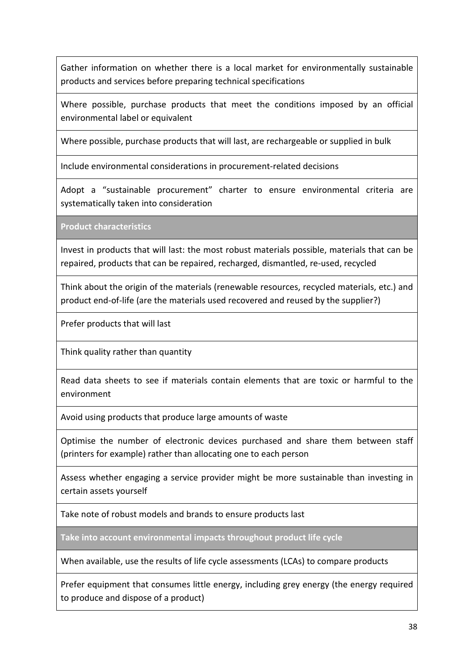Gather information on whether there is a local market for environmentally sustainable products and services before preparing technical specifications

Where possible, purchase products that meet the conditions imposed by an official environmental label or equivalent

Where possible, purchase products that will last, are rechargeable or supplied in bulk

Include environmental considerations in procurement-related decisions

Adopt a "sustainable procurement" charter to ensure environmental criteria are systematically taken into consideration

**Product characteristics**

Invest in products that will last: the most robust materials possible, materials that can be repaired, products that can be repaired, recharged, dismantled, re-used, recycled

Think about the origin of the materials (renewable resources, recycled materials, etc.) and product end-of-life (are the materials used recovered and reused by the supplier?)

Prefer products that will last

Think quality rather than quantity

Read data sheets to see if materials contain elements that are toxic or harmful to the environment

Avoid using products that produce large amounts of waste

Optimise the number of electronic devices purchased and share them between staff (printers for example) rather than allocating one to each person

Assess whether engaging a service provider might be more sustainable than investing in certain assets yourself

Take note of robust models and brands to ensure products last

**Take into account environmental impacts throughout product life cycle**

When available, use the results of life cycle assessments (LCAs) to compare products

Prefer equipment that consumes little energy, including grey energy (the energy required to produce and dispose of a product)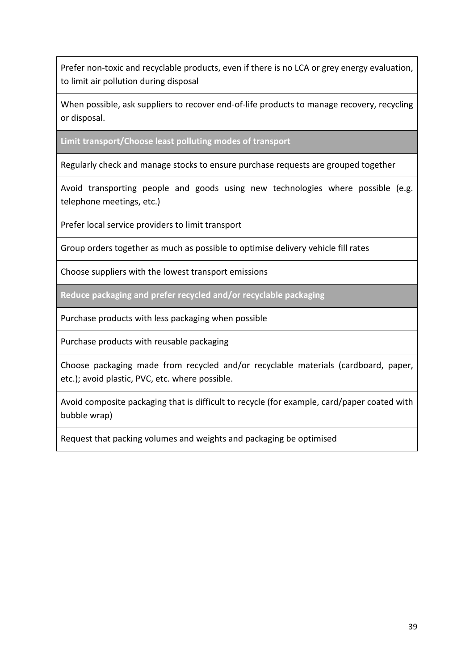Prefer non-toxic and recyclable products, even if there is no LCA or grey energy evaluation, to limit air pollution during disposal

When possible, ask suppliers to recover end-of-life products to manage recovery, recycling or disposal.

**Limit transport/Choose least polluting modes of transport**

Regularly check and manage stocks to ensure purchase requests are grouped together

Avoid transporting people and goods using new technologies where possible (e.g. telephone meetings, etc.)

Prefer local service providers to limit transport

Group orders together as much as possible to optimise delivery vehicle fill rates

Choose suppliers with the lowest transport emissions

**Reduce packaging and prefer recycled and/or recyclable packaging**

Purchase products with less packaging when possible

Purchase products with reusable packaging

Choose packaging made from recycled and/or recyclable materials (cardboard, paper, etc.); avoid plastic, PVC, etc. where possible.

Avoid composite packaging that is difficult to recycle (for example, card/paper coated with bubble wrap)

Request that packing volumes and weights and packaging be optimised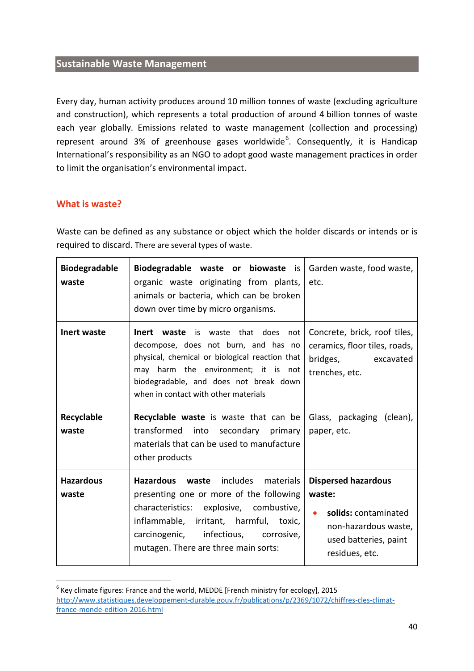### <span id="page-40-0"></span>**Sustainable Waste Management**

Every day, human activity produces around 10 million tonnes of waste (excluding agriculture and construction), which represents a total production of around 4 billion tonnes of waste each year globally. Emissions related to waste management (collection and processing) represent around 3% of greenhouse gases worldwide<sup>[6](#page-40-2)</sup>. Consequently, it is Handicap International's responsibility as an NGO to adopt good waste management practices in order to limit the organisation's environmental impact.

### <span id="page-40-1"></span>**What is waste?**

 $\overline{a}$ 

Waste can be defined as any substance or object which the holder discards or intends or is required to discard. There are several types of waste.

| <b>Biodegradable</b><br>waste | <b>Biodegradable waste or biowaste</b> is $\sqrt{ }$ Garden waste, food waste,<br>organic waste originating from plants,<br>animals or bacteria, which can be broken<br>down over time by micro organisms.                                                               | etc.                                                                                                                            |
|-------------------------------|--------------------------------------------------------------------------------------------------------------------------------------------------------------------------------------------------------------------------------------------------------------------------|---------------------------------------------------------------------------------------------------------------------------------|
| <b>Inert waste</b>            | <b>Inert</b><br>waste<br>that does<br>is waste<br>not<br>decompose, does not burn, and has no<br>physical, chemical or biological reaction that<br>may harm the environment; it is not<br>biodegradable, and does not break down<br>when in contact with other materials | Concrete, brick, roof tiles,<br>ceramics, floor tiles, roads,<br>bridges, excavated<br>trenches, etc.                           |
| Recyclable<br>waste           | <b>Recyclable waste</b> is waste that can be<br>transformed into secondary<br>primary<br>materials that can be used to manufacture<br>other products                                                                                                                     | Glass, packaging (clean),<br>paper, etc.                                                                                        |
| <b>Hazardous</b><br>waste     | includes materials<br><b>Hazardous</b><br>waste<br>presenting one or more of the following<br>characteristics: explosive, combustive,<br>inflammable, irritant, harmful, toxic,<br>carcinogenic, infectious, corrosive,<br>mutagen. There are three main sorts:          | <b>Dispersed hazardous</b><br>waste:<br>solids: contaminated<br>non-hazardous waste,<br>used batteries, paint<br>residues, etc. |

<span id="page-40-2"></span> $6$  Key climate figures: France and the world, MEDDE [French ministry for ecology], 2015 [http://www.statistiques.developpement-durable.gouv.fr/publications/p/2369/1072/chiffres-cles-climat](http://www.statistiques.developpement-durable.gouv.fr/publications/p/2369/1072/chiffres-cles-climat-france-monde-edition-2016.html)[france-monde-edition-2016.html](http://www.statistiques.developpement-durable.gouv.fr/publications/p/2369/1072/chiffres-cles-climat-france-monde-edition-2016.html)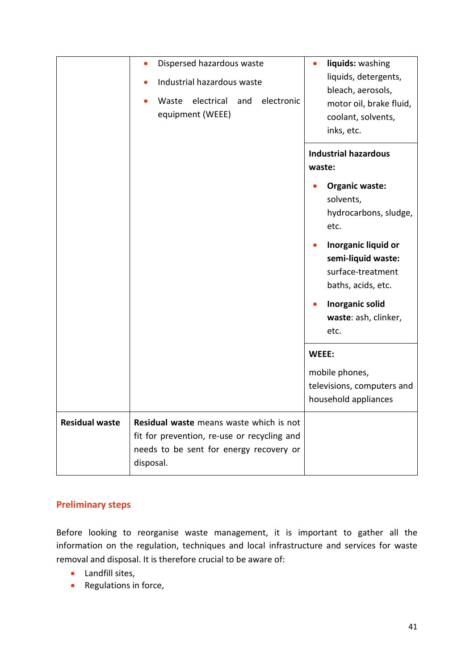|                       | Dispersed hazardous waste<br>$\bullet$<br>Industrial hazardous waste<br>electrical<br>electronic<br>Waste<br>and<br>equipment (WEEE)           | liquids: washing<br>liquids, detergents,<br>bleach, aerosols,<br>motor oil, brake fluid,<br>coolant, solvents,<br>inks, etc.                                     |
|-----------------------|------------------------------------------------------------------------------------------------------------------------------------------------|------------------------------------------------------------------------------------------------------------------------------------------------------------------|
|                       |                                                                                                                                                | <b>Industrial hazardous</b><br>waste:<br><b>Organic waste:</b><br>solvents,                                                                                      |
|                       |                                                                                                                                                | hydrocarbons, sludge,<br>etc.<br>Inorganic liquid or<br>semi-liquid waste:<br>surface-treatment<br>baths, acids, etc.<br>Inorganic solid<br>waste: ash, clinker, |
|                       |                                                                                                                                                | etc.<br>WEEE:<br>mobile phones,<br>televisions, computers and<br>household appliances                                                                            |
| <b>Residual waste</b> | Residual waste means waste which is not<br>fit for prevention, re-use or recycling and<br>needs to be sent for energy recovery or<br>disposal. |                                                                                                                                                                  |

### <span id="page-41-0"></span>**Preliminary steps**

Before looking to reorganise waste management, it is important to gather all the information on the regulation, techniques and local infrastructure and services for waste removal and disposal. It is therefore crucial to be aware of:

- Landfill sites,
- Regulations in force,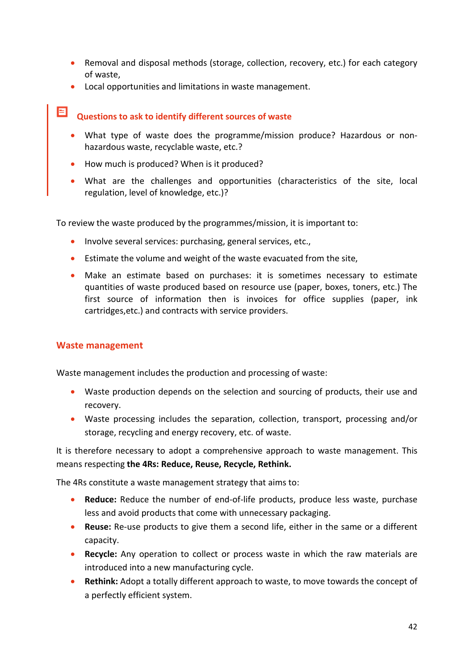- Removal and disposal methods (storage, collection, recovery, etc.) for each category of waste,
- Local opportunities and limitations in waste management.

# **Questions to ask to identify different sources of waste**

- What type of waste does the programme/mission produce? Hazardous or nonhazardous waste, recyclable waste, etc.?
- How much is produced? When is it produced?
- What are the challenges and opportunities (characteristics of the site, local regulation, level of knowledge, etc.)?

To review the waste produced by the programmes/mission, it is important to:

- Involve several services: purchasing, general services, etc.,
- Estimate the volume and weight of the waste evacuated from the site,
- Make an estimate based on purchases: it is sometimes necessary to estimate quantities of waste produced based on resource use (paper, boxes, toners, etc.) The first source of information then is invoices for office supplies (paper, ink cartridges,etc.) and contracts with service providers.

### <span id="page-42-0"></span>**Waste management**

Waste management includes the production and processing of waste:

- Waste production depends on the selection and sourcing of products, their use and recovery.
- Waste processing includes the separation, collection, transport, processing and/or storage, recycling and energy recovery, etc. of waste.

It is therefore necessary to adopt a comprehensive approach to waste management. This means respecting **the 4Rs: Reduce, Reuse, Recycle, Rethink.** 

The 4Rs constitute a waste management strategy that aims to:

- **Reduce:** Reduce the number of end-of-life products, produce less waste, purchase less and avoid products that come with unnecessary packaging.
- **Reuse:** Re-use products to give them a second life, either in the same or a different capacity.
- **Recycle:** Any operation to collect or process waste in which the raw materials are introduced into a new manufacturing cycle.
- **Rethink:** Adopt a totally different approach to waste, to move towards the concept of a perfectly efficient system.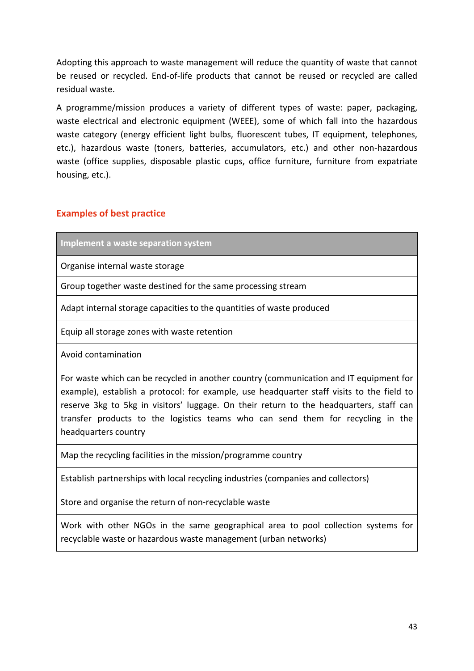Adopting this approach to waste management will reduce the quantity of waste that cannot be reused or recycled. End-of-life products that cannot be reused or recycled are called residual waste.

A programme/mission produces a variety of different types of waste: paper, packaging, waste electrical and electronic equipment (WEEE), some of which fall into the hazardous waste category (energy efficient light bulbs, fluorescent tubes, IT equipment, telephones, etc.), hazardous waste (toners, batteries, accumulators, etc.) and other non-hazardous waste (office supplies, disposable plastic cups, office furniture, furniture from expatriate housing, etc.).

### <span id="page-43-0"></span>**Examples of best practice**

**Implement a waste separation system**

Organise internal waste storage

Group together waste destined for the same processing stream

Adapt internal storage capacities to the quantities of waste produced

Equip all storage zones with waste retention

Avoid contamination

For waste which can be recycled in another country (communication and IT equipment for example), establish a protocol: for example, use headquarter staff visits to the field to reserve 3kg to 5kg in visitors' luggage. On their return to the headquarters, staff can transfer products to the logistics teams who can send them for recycling in the headquarters country

Map the recycling facilities in the mission/programme country

Establish partnerships with local recycling industries (companies and collectors)

Store and organise the return of non-recyclable waste

Work with other NGOs in the same geographical area to pool collection systems for recyclable waste or hazardous waste management (urban networks)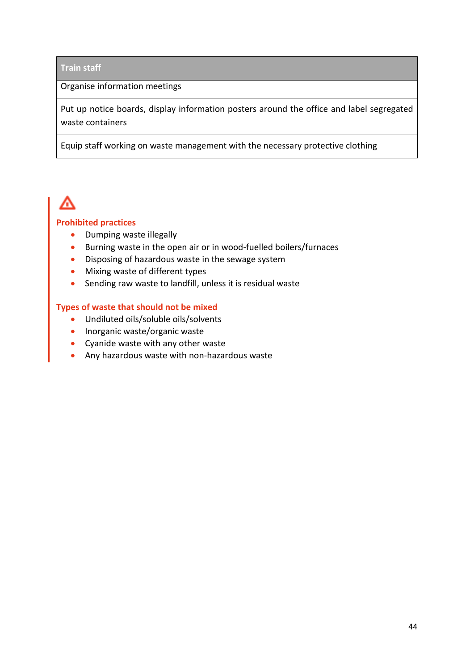### **Train staff**

### Organise information meetings

Put up notice boards, display information posters around the office and label segregated waste containers

Equip staff working on waste management with the necessary protective clothing

# Æ

### **Prohibited practices**

- Dumping waste illegally
- Burning waste in the open air or in wood-fuelled boilers/furnaces
- Disposing of hazardous waste in the sewage system
- Mixing waste of different types
- Sending raw waste to landfill, unless it is residual waste

### **Types of waste that should not be mixed**

- Undiluted oils/soluble oils/solvents
- Inorganic waste/organic waste
- Cyanide waste with any other waste
- Any hazardous waste with non-hazardous waste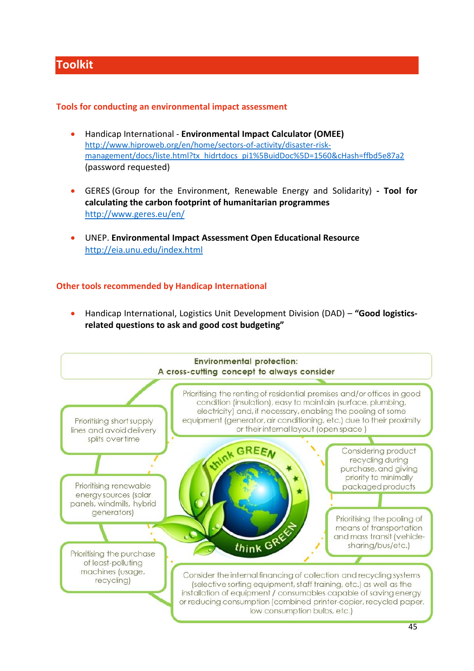# <span id="page-45-0"></span>**Toolkit**

### **Tools for conducting an environmental impact assessment**

- Handicap International **Environmental Impact Calculator (OMEE)** [http://www.hiproweb.org/en/home/sectors-of-activity/disaster-risk](http://www.hiproweb.org/en/home/sectors-of-activity/disaster-risk-management/docs/liste.html?tx_hidrtdocs_pi1%5BuidDoc%5D=1560&cHash=ffbd5e87a2)[management/docs/liste.html?tx\\_hidrtdocs\\_pi1%5BuidDoc%5D=1560&cHash=ffbd5e87a2](http://www.hiproweb.org/en/home/sectors-of-activity/disaster-risk-management/docs/liste.html?tx_hidrtdocs_pi1%5BuidDoc%5D=1560&cHash=ffbd5e87a2) (password requested)
- GERES (Group for the Environment, Renewable Energy and Solidarity) **- Tool for calculating the carbon footprint of humanitarian programmes**  <http://www.geres.eu/en/>
- UNEP. **Environmental Impact Assessment Open Educational Resource** <http://eia.unu.edu/index.html>

### **Other tools recommended by Handicap International**

• Handicap International, Logistics Unit Development Division (DAD) – **"Good logisticsrelated questions to ask and good cost budgeting"** 

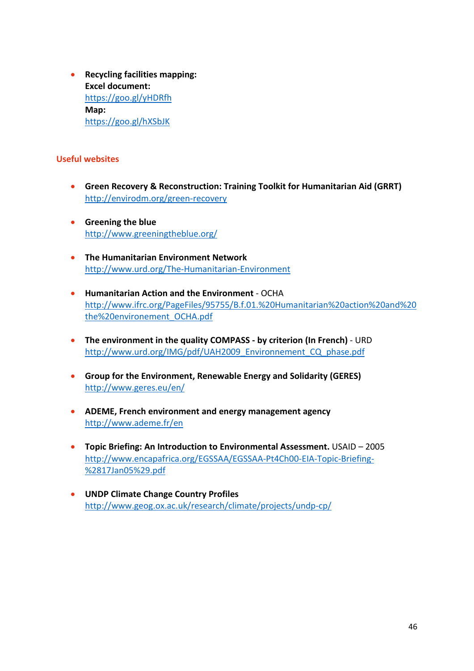• **Recycling facilities mapping: Excel document:**  <https://goo.gl/yHDRfh> **Map:** <https://goo.gl/hXSbJK>

### **Useful websites**

- **Green Recovery & Reconstruction: Training Toolkit for Humanitarian Aid (GRRT)** <http://envirodm.org/green-recovery>
- **Greening the blue** <http://www.greeningtheblue.org/>
- **The Humanitarian Environment Network** <http://www.urd.org/The-Humanitarian-Environment>
- **Humanitarian Action and the Environment**  OCHA [http://www.ifrc.org/PageFiles/95755/B.f.01.%20Humanitarian%20action%20and%20](http://www.ifrc.org/PageFiles/95755/B.f.01.%20Humanitarian%20action%20and%20the%20environement_OCHA.pdf) [the%20environement\\_OCHA.pdf](http://www.ifrc.org/PageFiles/95755/B.f.01.%20Humanitarian%20action%20and%20the%20environement_OCHA.pdf)
- **The environment in the quality COMPASS - by criterion (In French)**  URD [http://www.urd.org/IMG/pdf/UAH2009\\_Environnement\\_CQ\\_phase.pdf](http://www.urd.org/IMG/pdf/UAH2009_Environnement_CQ_phase.pdf)
- **Group for the Environment, Renewable Energy and Solidarity (GERES)** <http://www.geres.eu/en/>
- **ADEME, French environment and energy management agency** <http://www.ademe.fr/en>
- **Topic Briefing: An Introduction to Environmental Assessment.** USAID 2005 [http://www.encapafrica.org/EGSSAA/EGSSAA-Pt4Ch00-EIA-Topic-Briefing-](http://www.encapafrica.org/EGSSAA/EGSSAA-Pt4Ch00-EIA-Topic-Briefing-(17Jan05).pdf) [%2817Jan05%29.pdf](http://www.encapafrica.org/EGSSAA/EGSSAA-Pt4Ch00-EIA-Topic-Briefing-(17Jan05).pdf)
- **UNDP Climate Change Country Profiles** <http://www.geog.ox.ac.uk/research/climate/projects/undp-cp/>